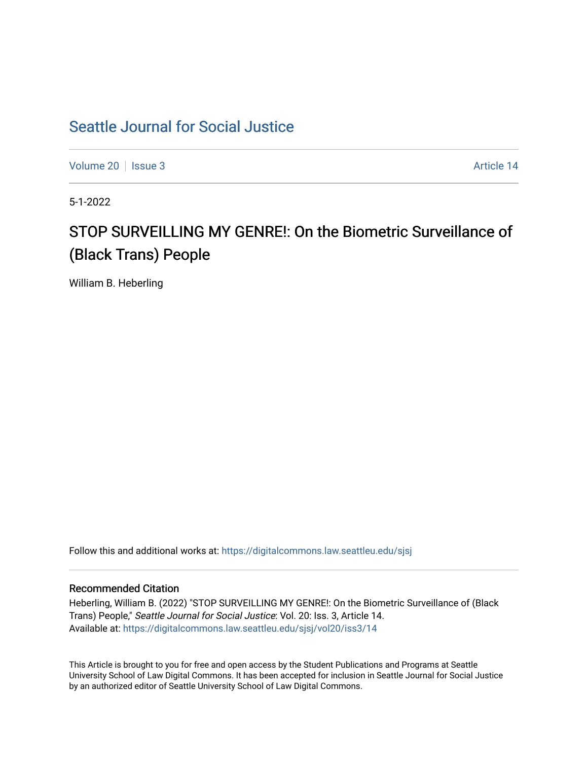# [Seattle Journal for Social Justice](https://digitalcommons.law.seattleu.edu/sjsj)

[Volume 20](https://digitalcommons.law.seattleu.edu/sjsj/vol20) | [Issue 3](https://digitalcommons.law.seattleu.edu/sjsj/vol20/iss3) Article 14

5-1-2022

# STOP SURVEILLING MY GENRE!: On the Biometric Surveillance of (Black Trans) People

William B. Heberling

Follow this and additional works at: [https://digitalcommons.law.seattleu.edu/sjsj](https://digitalcommons.law.seattleu.edu/sjsj?utm_source=digitalcommons.law.seattleu.edu%2Fsjsj%2Fvol20%2Fiss3%2F14&utm_medium=PDF&utm_campaign=PDFCoverPages)

# Recommended Citation

Heberling, William B. (2022) "STOP SURVEILLING MY GENRE!: On the Biometric Surveillance of (Black Trans) People," Seattle Journal for Social Justice: Vol. 20: Iss. 3, Article 14. Available at: [https://digitalcommons.law.seattleu.edu/sjsj/vol20/iss3/14](https://digitalcommons.law.seattleu.edu/sjsj/vol20/iss3/14?utm_source=digitalcommons.law.seattleu.edu%2Fsjsj%2Fvol20%2Fiss3%2F14&utm_medium=PDF&utm_campaign=PDFCoverPages) 

This Article is brought to you for free and open access by the Student Publications and Programs at Seattle University School of Law Digital Commons. It has been accepted for inclusion in Seattle Journal for Social Justice by an authorized editor of Seattle University School of Law Digital Commons.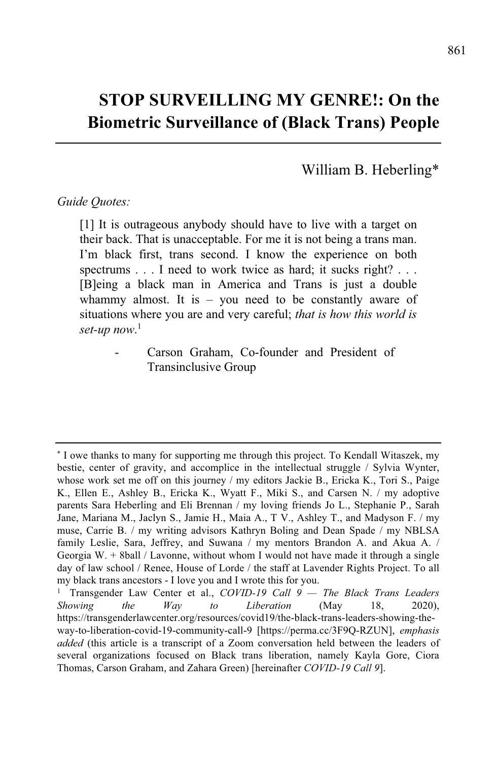# **STOP SURVEILLING MY GENRE!: On the Biometric Surveillance of (Black Trans) People**

William B. Heberling\*

### *Guide Quotes:*

[1] It is outrageous anybody should have to live with a target on their back. That is unacceptable. For me it is not being a trans man. I'm black first, trans second. I know the experience on both spectrums . . . I need to work twice as hard; it sucks right? . . . [B]eing a black man in America and Trans is just a double whammy almost. It is  $-$  you need to be constantly aware of situations where you are and very careful; *that is how this world is set-up now*. 1

> Carson Graham, Co-founder and President of Transinclusive Group

<sup>\*</sup> I owe thanks to many for supporting me through this project. To Kendall Witaszek, my bestie, center of gravity, and accomplice in the intellectual struggle / Sylvia Wynter, whose work set me off on this journey / my editors Jackie B., Ericka K., Tori S., Paige K., Ellen E., Ashley B., Ericka K., Wyatt F., Miki S., and Carsen N. / my adoptive parents Sara Heberling and Eli Brennan / my loving friends Jo L., Stephanie P., Sarah Jane, Mariana M., Jaclyn S., Jamie H., Maia A., T V., Ashley T., and Madyson F. / my muse, Carrie B. / my writing advisors Kathryn Boling and Dean Spade / my NBLSA family Leslie, Sara, Jeffrey, and Suwana / my mentors Brandon A. and Akua A. / Georgia W. + 8ball / Lavonne, without whom I would not have made it through a single day of law school / Renee, House of Lorde / the staff at Lavender Rights Project. To all my black trans ancestors - I love you and I wrote this for you.

<sup>1</sup> Transgender Law Center et al., *COVID-19 Call 9 — The Black Trans Leaders Showing the Way to Liberation* (May 18, 2020), https://transgenderlawcenter.org/resources/covid19/the-black-trans-leaders-showing-theway-to-liberation-covid-19-community-call-9 [https://perma.cc/3F9Q-RZUN], *emphasis added* (this article is a transcript of a Zoom conversation held between the leaders of several organizations focused on Black trans liberation, namely Kayla Gore, Ciora Thomas, Carson Graham, and Zahara Green) [hereinafter *COVID-19 Call 9*].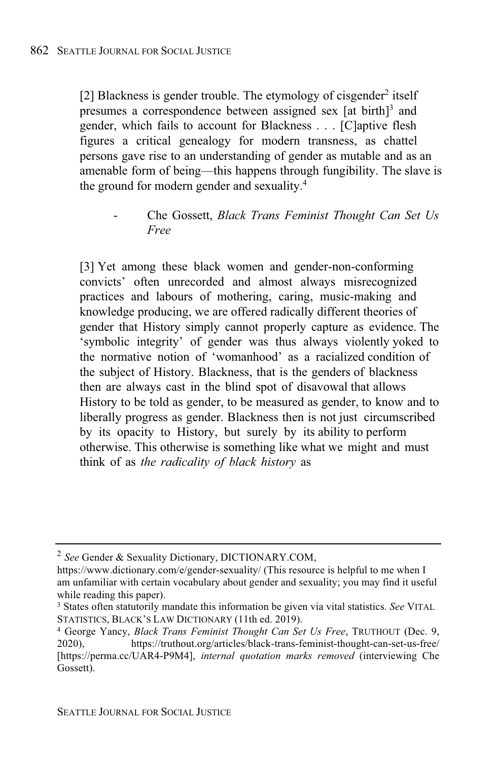[2] Blackness is gender trouble. The etymology of cisgender<sup>2</sup> itself presumes a correspondence between assigned sex [at birth]<sup>3</sup> and gender, which fails to account for Blackness . . . [C]aptive flesh figures a critical genealogy for modern transness, as chattel persons gave rise to an understanding of gender as mutable and as an amenable form of being—this happens through fungibility. The slave is the ground for modern gender and sexuality.<sup>4</sup>

- Che Gossett, *Black Trans Feminist Thought Can Set Us Free*

[3] Yet among these black women and gender-non-conforming convicts' often unrecorded and almost always misrecognized practices and labours of mothering, caring, music-making and knowledge producing, we are offered radically different theories of gender that History simply cannot properly capture as evidence. The 'symbolic integrity' of gender was thus always violently yoked to the normative notion of 'womanhood' as a racialized condition of the subject of History. Blackness, that is the genders of blackness then are always cast in the blind spot of disavowal that allows History to be told as gender, to be measured as gender, to know and to liberally progress as gender. Blackness then is not just circumscribed by its opacity to History, but surely by its ability to perform otherwise. This otherwise is something like what we might and must think of as *the radicality of black history* as

<sup>2</sup> *See* Gender & Sexuality Dictionary, DICTIONARY.COM,

https://www.dictionary.com/e/gender-sexuality/ (This resource is helpful to me when I am unfamiliar with certain vocabulary about gender and sexuality; you may find it useful while reading this paper).

<sup>3</sup> States often statutorily mandate this information be given via vital statistics. *See* VITAL STATISTICS, BLACK'S LAW DICTIONARY (11th ed. 2019).

<sup>4</sup> George Yancy, *Black Trans Feminist Thought Can Set Us Free*, TRUTHOUT (Dec. 9, 2020), https://truthout.org/articles/black-trans-feminist-thought-can-set-us-free/ [https://perma.cc/UAR4-P9M4], *internal quotation marks removed* (interviewing Che Gossett).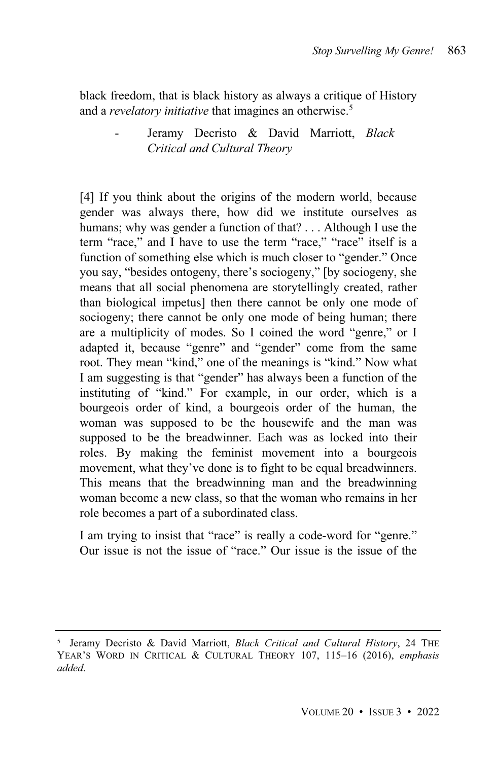black freedom, that is black history as always a critique of History and a *revelatory initiative* that imagines an otherwise.<sup>5</sup>

# - Jeramy Decristo & David Marriott, *Black Critical and Cultural Theory*

[4] If you think about the origins of the modern world, because gender was always there, how did we institute ourselves as humans; why was gender a function of that? . . . Although I use the term "race," and I have to use the term "race," "race" itself is a function of something else which is much closer to "gender." Once you say, "besides ontogeny, there's sociogeny," [by sociogeny, she means that all social phenomena are storytellingly created, rather than biological impetus] then there cannot be only one mode of sociogeny; there cannot be only one mode of being human; there are a multiplicity of modes. So I coined the word "genre," or I adapted it, because "genre" and "gender" come from the same root. They mean "kind," one of the meanings is "kind." Now what I am suggesting is that "gender" has always been a function of the instituting of "kind." For example, in our order, which is a bourgeois order of kind, a bourgeois order of the human, the woman was supposed to be the housewife and the man was supposed to be the breadwinner. Each was as locked into their roles. By making the feminist movement into a bourgeois movement, what they've done is to fight to be equal breadwinners. This means that the breadwinning man and the breadwinning woman become a new class, so that the woman who remains in her role becomes a part of a subordinated class.

I am trying to insist that "race" is really a code-word for "genre." Our issue is not the issue of "race." Our issue is the issue of the

<sup>5</sup> Jeramy Decristo & David Marriott, *Black Critical and Cultural History*, 24 THE YEAR'S WORD IN CRITICAL & CULTURAL THEORY 107, 115–16 (2016), *emphasis added*.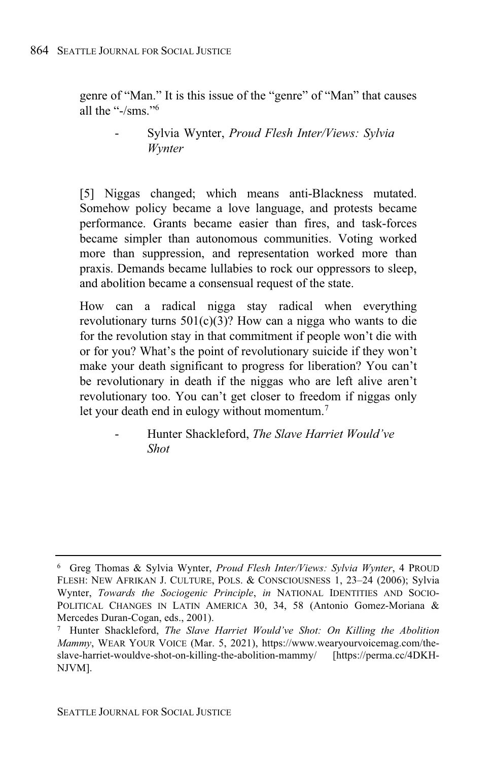genre of "Man." It is this issue of the "genre" of "Man" that causes all the "-/sms."<sup>6</sup>

> - Sylvia Wynter, *Proud Flesh Inter/Views: Sylvia Wynter*

[5] Niggas changed; which means anti-Blackness mutated. Somehow policy became a love language, and protests became performance. Grants became easier than fires, and task-forces became simpler than autonomous communities. Voting worked more than suppression, and representation worked more than praxis. Demands became lullabies to rock our oppressors to sleep, and abolition became a consensual request of the state.

How can a radical nigga stay radical when everything revolutionary turns  $501(c)(3)$ ? How can a nigga who wants to die for the revolution stay in that commitment if people won't die with or for you? What's the point of revolutionary suicide if they won't make your death significant to progress for liberation? You can't be revolutionary in death if the niggas who are left alive aren't revolutionary too. You can't get closer to freedom if niggas only let your death end in eulogy without momentum. 7

- Hunter Shackleford, *The Slave Harriet Would've Shot*

<sup>6</sup> Greg Thomas & Sylvia Wynter, *Proud Flesh Inter/Views: Sylvia Wynter*, 4 PROUD FLESH: NEW AFRIKAN J. CULTURE, POLS. & CONSCIOUSNESS 1, 23–24 (2006); Sylvia Wynter, *Towards the Sociogenic Principle*, *in* NATIONAL IDENTITIES AND SOCIO-POLITICAL CHANGES IN LATIN AMERICA 30, 34, 58 (Antonio Gomez-Moriana & Mercedes Duran-Cogan, eds., 2001).

<sup>7</sup> Hunter Shackleford, *The Slave Harriet Would've Shot: On Killing the Abolition Mammy*, WEAR YOUR VOICE (Mar. 5, 2021), https://www.wearyourvoicemag.com/theslave-harriet-wouldve-shot-on-killing-the-abolition-mammy/ [https://perma.cc/4DKH-NJVM].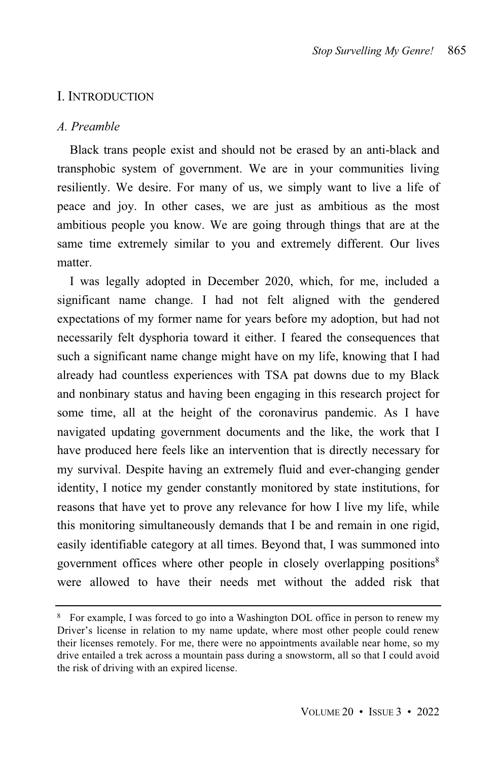# I. INTRODUCTION

#### *A. Preamble*

Black trans people exist and should not be erased by an anti-black and transphobic system of government. We are in your communities living resiliently. We desire. For many of us, we simply want to live a life of peace and joy. In other cases, we are just as ambitious as the most ambitious people you know. We are going through things that are at the same time extremely similar to you and extremely different. Our lives matter.

I was legally adopted in December 2020, which, for me, included a significant name change. I had not felt aligned with the gendered expectations of my former name for years before my adoption, but had not necessarily felt dysphoria toward it either. I feared the consequences that such a significant name change might have on my life, knowing that I had already had countless experiences with TSA pat downs due to my Black and nonbinary status and having been engaging in this research project for some time, all at the height of the coronavirus pandemic. As I have navigated updating government documents and the like, the work that I have produced here feels like an intervention that is directly necessary for my survival. Despite having an extremely fluid and ever-changing gender identity, I notice my gender constantly monitored by state institutions, for reasons that have yet to prove any relevance for how I live my life, while this monitoring simultaneously demands that I be and remain in one rigid, easily identifiable category at all times. Beyond that, I was summoned into government offices where other people in closely overlapping positions<sup>8</sup> were allowed to have their needs met without the added risk that

<sup>8</sup> For example, I was forced to go into a Washington DOL office in person to renew my Driver's license in relation to my name update, where most other people could renew their licenses remotely. For me, there were no appointments available near home, so my drive entailed a trek across a mountain pass during a snowstorm, all so that I could avoid the risk of driving with an expired license.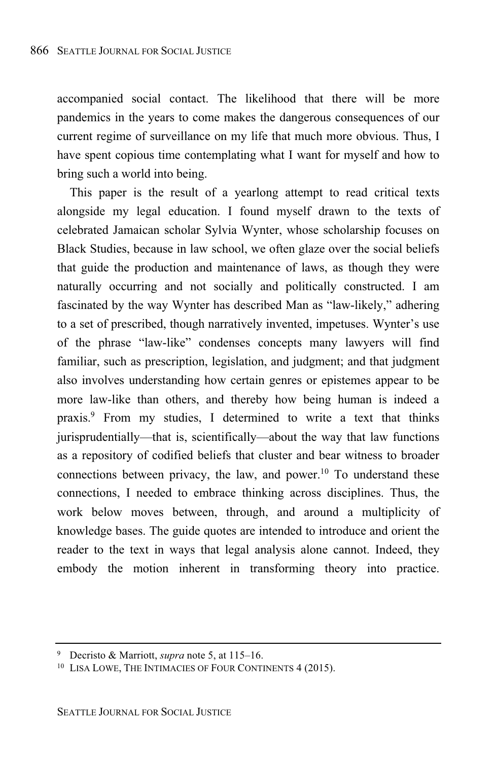accompanied social contact. The likelihood that there will be more pandemics in the years to come makes the dangerous consequences of our current regime of surveillance on my life that much more obvious. Thus, I have spent copious time contemplating what I want for myself and how to bring such a world into being.

This paper is the result of a yearlong attempt to read critical texts alongside my legal education. I found myself drawn to the texts of celebrated Jamaican scholar Sylvia Wynter, whose scholarship focuses on Black Studies, because in law school, we often glaze over the social beliefs that guide the production and maintenance of laws, as though they were naturally occurring and not socially and politically constructed. I am fascinated by the way Wynter has described Man as "law-likely," adhering to a set of prescribed, though narratively invented, impetuses. Wynter's use of the phrase "law-like" condenses concepts many lawyers will find familiar, such as prescription, legislation, and judgment; and that judgment also involves understanding how certain genres or epistemes appear to be more law-like than others, and thereby how being human is indeed a praxis.<sup>9</sup> From my studies, I determined to write a text that thinks jurisprudentially—that is, scientifically—about the way that law functions as a repository of codified beliefs that cluster and bear witness to broader connections between privacy, the law, and power.<sup>10</sup> To understand these connections, I needed to embrace thinking across disciplines. Thus, the work below moves between, through, and around a multiplicity of knowledge bases. The guide quotes are intended to introduce and orient the reader to the text in ways that legal analysis alone cannot. Indeed, they embody the motion inherent in transforming theory into practice.

<sup>9</sup> Decristo & Marriott, *supra* note 5, at 115–16.

<sup>10</sup> LISA LOWE, THE INTIMACIES OF FOUR CONTINENTS 4 (2015).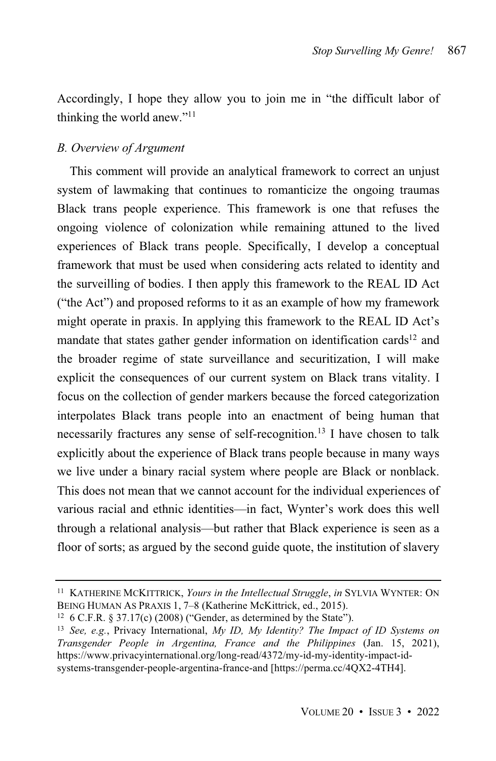Accordingly, I hope they allow you to join me in "the difficult labor of thinking the world anew." 11

## *B. Overview of Argument*

This comment will provide an analytical framework to correct an unjust system of lawmaking that continues to romanticize the ongoing traumas Black trans people experience. This framework is one that refuses the ongoing violence of colonization while remaining attuned to the lived experiences of Black trans people. Specifically, I develop a conceptual framework that must be used when considering acts related to identity and the surveilling of bodies. I then apply this framework to the REAL ID Act ("the Act") and proposed reforms to it as an example of how my framework might operate in praxis. In applying this framework to the REAL ID Act's mandate that states gather gender information on identification cards<sup>12</sup> and the broader regime of state surveillance and securitization, I will make explicit the consequences of our current system on Black trans vitality. I focus on the collection of gender markers because the forced categorization interpolates Black trans people into an enactment of being human that necessarily fractures any sense of self-recognition.<sup>13</sup> I have chosen to talk explicitly about the experience of Black trans people because in many ways we live under a binary racial system where people are Black or nonblack. This does not mean that we cannot account for the individual experiences of various racial and ethnic identities—in fact, Wynter's work does this well through a relational analysis—but rather that Black experience is seen as a floor of sorts; as argued by the second guide quote, the institution of slavery

<sup>11</sup> KATHERINE MCKITTRICK, *Yours in the Intellectual Struggle*, *in* SYLVIA WYNTER: ON BEING HUMAN AS PRAXIS 1, 7–8 (Katherine McKittrick, ed., 2015).

<sup>&</sup>lt;sup>12</sup> 6 C.F.R. § 37.17(c) (2008) ("Gender, as determined by the State").

<sup>13</sup> *See, e.g.*, Privacy International, *My ID, My Identity? The Impact of ID Systems on Transgender People in Argentina, France and the Philippines* (Jan. 15, 2021), https://www.privacyinternational.org/long-read/4372/my-id-my-identity-impact-idsystems-transgender-people-argentina-france-and [https://perma.cc/4QX2-4TH4].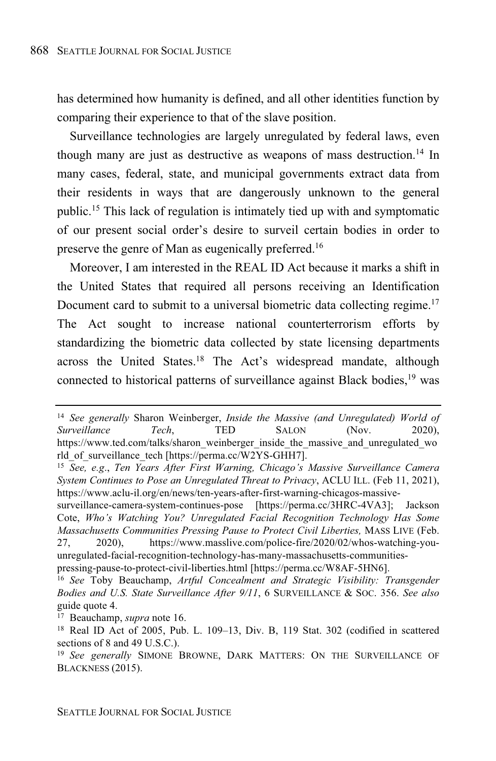has determined how humanity is defined, and all other identities function by comparing their experience to that of the slave position.

Surveillance technologies are largely unregulated by federal laws, even though many are just as destructive as weapons of mass destruction. <sup>14</sup> In many cases, federal, state, and municipal governments extract data from their residents in ways that are dangerously unknown to the general public. <sup>15</sup> This lack of regulation is intimately tied up with and symptomatic of our present social order's desire to surveil certain bodies in order to preserve the genre of Man as eugenically preferred.<sup>16</sup>

Moreover, I am interested in the REAL ID Act because it marks a shift in the United States that required all persons receiving an Identification Document card to submit to a universal biometric data collecting regime.<sup>17</sup> The Act sought to increase national counterterrorism efforts by standardizing the biometric data collected by state licensing departments across the United States.<sup>18</sup> The Act's widespread mandate, although connected to historical patterns of surveillance against Black bodies, <sup>19</sup> was

<sup>14</sup> *See generally* Sharon Weinberger, *Inside the Massive (and Unregulated) World of*  $Surveillance$ https://www.ted.com/talks/sharon\_weinberger\_inside\_the\_massive\_and\_unregulated\_wo rld\_of\_surveillance\_tech [https://perma.cc/W2YS-GHH7].

<sup>15</sup> *See, e.g*., *Ten Years After First Warning, Chicago's Massive Surveillance Camera System Continues to Pose an Unregulated Threat to Privacy*, ACLU ILL. (Feb 11, 2021), https://www.aclu-il.org/en/news/ten-years-after-first-warning-chicagos-massive-

surveillance-camera-system-continues-pose [https://perma.cc/3HRC-4VA3]; Jackson Cote, *Who's Watching You? Unregulated Facial Recognition Technology Has Some Massachusetts Communities Pressing Pause to Protect Civil Liberties,* MASS LIVE (Feb. 27, 2020), https://www.masslive.com/police-fire/2020/02/whos-watching-youunregulated-facial-recognition-technology-has-many-massachusetts-communitiespressing-pause-to-protect-civil-liberties.html [https://perma.cc/W8AF-5HN6].

<sup>16</sup> *See* Toby Beauchamp, *Artful Concealment and Strategic Visibility: Transgender Bodies and U.S. State Surveillance After 9/11*, 6 SURVEILLANCE & SOC. 356. *See also* guide quote 4.

<sup>17</sup> Beauchamp, *supra* note 16.

<sup>18</sup> Real ID Act of 2005, Pub. L. 109–13, Div. B, 119 Stat. 302 (codified in scattered sections of 8 and 49 U.S.C.).

<sup>19</sup> *See generally* SIMONE BROWNE, DARK MATTERS: ON THE SURVEILLANCE OF BLACKNESS (2015).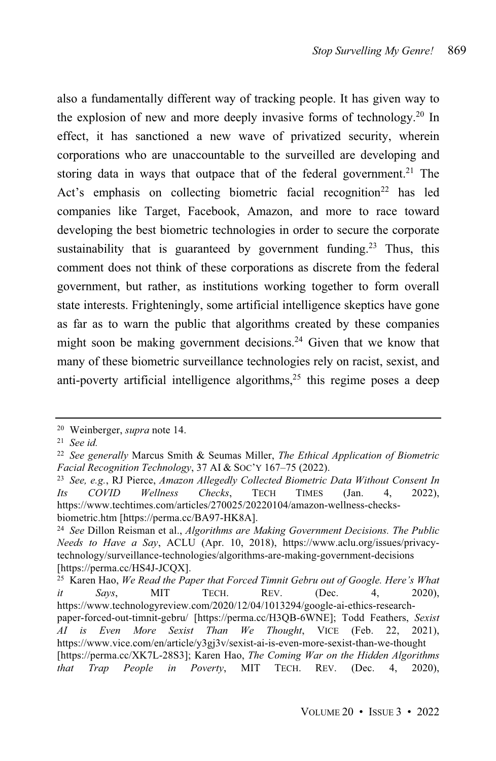also a fundamentally different way of tracking people. It has given way to the explosion of new and more deeply invasive forms of technology. <sup>20</sup> In effect, it has sanctioned a new wave of privatized security, wherein corporations who are unaccountable to the surveilled are developing and storing data in ways that outpace that of the federal government.<sup>21</sup> The Act's emphasis on collecting biometric facial recognition <sup>22</sup> has led companies like Target, Facebook, Amazon, and more to race toward developing the best biometric technologies in order to secure the corporate sustainability that is guaranteed by government funding.<sup>23</sup> Thus, this comment does not think of these corporations as discrete from the federal government, but rather, as institutions working together to form overall state interests. Frighteningly, some artificial intelligence skeptics have gone as far as to warn the public that algorithms created by these companies might soon be making government decisions.<sup>24</sup> Given that we know that many of these biometric surveillance technologies rely on racist, sexist, and anti-poverty artificial intelligence algorithms, <sup>25</sup> this regime poses a deep

<sup>20</sup> Weinberger, *supra* note 14.

<sup>21</sup> *See id.*

<sup>22</sup> *See generally* Marcus Smith & Seumas Miller, *The Ethical Application of Biometric Facial Recognition Technology*, 37 AI & SOC'Y 167–75 (2022).

<sup>23</sup> *See, e.g.*, RJ Pierce, *Amazon Allegedly Collected Biometric Data Without Consent In Its COVID Wellness Checks*, TECH TIMES (Jan. 4, 2022), https://www.techtimes.com/articles/270025/20220104/amazon-wellness-checksbiometric.htm [https://perma.cc/BA97-HK8A].

<sup>24</sup> *See* Dillon Reisman et al., *Algorithms are Making Government Decisions. The Public Needs to Have a Say*, ACLU (Apr. 10, 2018), https://www.aclu.org/issues/privacytechnology/surveillance-technologies/algorithms-are-making-government-decisions [https://perma.cc/HS4J-JCQX].

<sup>25</sup> Karen Hao, *We Read the Paper that Forced Timnit Gebru out of Google. Here's What it Says*, MIT TECH. REV. (Dec. 4, 2020), https://www.technologyreview.com/2020/12/04/1013294/google-ai-ethics-researchpaper-forced-out-timnit-gebru/ [https://perma.cc/H3QB-6WNE]; Todd Feathers, *Sexist AI is Even More Sexist Than We Thought*, VICE (Feb. 22, 2021), https://www.vice.com/en/article/y3gj3v/sexist-ai-is-even-more-sexist-than-we-thought [https://perma.cc/XK7L-28S3]; Karen Hao, *The Coming War on the Hidden Algorithms in Poverty*, MIT TECH. REV. (Dec. 4, 2020),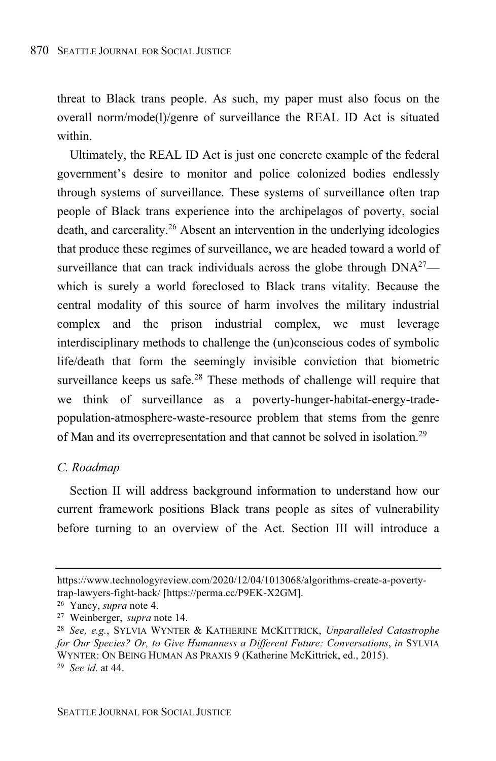threat to Black trans people. As such, my paper must also focus on the overall norm/mode(l)/genre of surveillance the REAL ID Act is situated within.

Ultimately, the REAL ID Act is just one concrete example of the federal government's desire to monitor and police colonized bodies endlessly through systems of surveillance. These systems of surveillance often trap people of Black trans experience into the archipelagos of poverty, social death, and carcerality. <sup>26</sup> Absent an intervention in the underlying ideologies that produce these regimes of surveillance, we are headed toward a world of surveillance that can track individuals across the globe through  $DNA^{27}$  which is surely a world foreclosed to Black trans vitality. Because the central modality of this source of harm involves the military industrial complex and the prison industrial complex, we must leverage interdisciplinary methods to challenge the (un)conscious codes of symbolic life/death that form the seemingly invisible conviction that biometric surveillance keeps us safe.<sup>28</sup> These methods of challenge will require that we think of surveillance as a poverty-hunger-habitat-energy-tradepopulation-atmosphere-waste-resource problem that stems from the genre of Man and its overrepresentation and that cannot be solved in isolation.<sup>29</sup>

### *C. Roadmap*

Section II will address background information to understand how our current framework positions Black trans people as sites of vulnerability before turning to an overview of the Act. Section III will introduce a

https://www.technologyreview.com/2020/12/04/1013068/algorithms-create-a-povertytrap-lawyers-fight-back/ [https://perma.cc/P9EK-X2GM].

<sup>26</sup> Yancy, *supra* note 4.

<sup>27</sup> Weinberger, *supra* note 14.

<sup>28</sup> *See, e.g.*, SYLVIA WYNTER & KATHERINE MCKITTRICK, *Unparalleled Catastrophe for Our Species? Or, to Give Humanness a Different Future: Conversations*, *in* SYLVIA WYNTER: ON BEING HUMAN AS PRAXIS 9 (Katherine McKittrick, ed., 2015). <sup>29</sup> *See id*. at 44.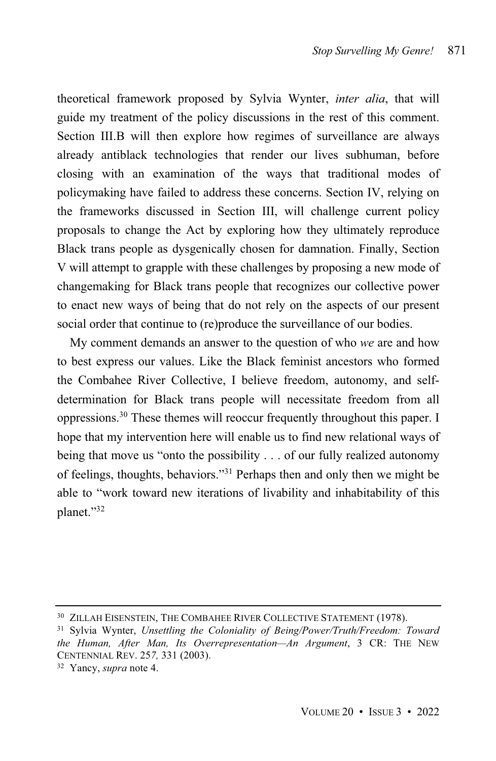theoretical framework proposed by Sylvia Wynter, *inter alia*, that will guide my treatment of the policy discussions in the rest of this comment. Section III.B will then explore how regimes of surveillance are always already antiblack technologies that render our lives subhuman, before closing with an examination of the ways that traditional modes of policymaking have failed to address these concerns. Section IV, relying on the frameworks discussed in Section III, will challenge current policy proposals to change the Act by exploring how they ultimately reproduce Black trans people as dysgenically chosen for damnation. Finally, Section V will attempt to grapple with these challenges by proposing a new mode of changemaking for Black trans people that recognizes our collective power to enact new ways of being that do not rely on the aspects of our present social order that continue to (re)produce the surveillance of our bodies.

My comment demands an answer to the question of who *we* are and how to best express our values. Like the Black feminist ancestors who formed the Combahee River Collective, I believe freedom, autonomy, and selfdetermination for Black trans people will necessitate freedom from all oppressions.<sup>30</sup> These themes will reoccur frequently throughout this paper. I hope that my intervention here will enable us to find new relational ways of being that move us "onto the possibility . . . of our fully realized autonomy of feelings, thoughts, behaviors." <sup>31</sup> Perhaps then and only then we might be able to "work toward new iterations of livability and inhabitability of this planet."<sup>32</sup>

<sup>&</sup>lt;sup>30</sup> ZILLAH EISENSTEIN, THE COMBAHEE RIVER COLLECTIVE STATEMENT (1978).

<sup>31</sup> Sylvia Wynter, *Unsettling the Coloniality of Being/Power/Truth/Freedom: Toward the Human, After Man, Its Overrepresentation—An Argument*, 3 CR: THE NEW CENTENNIAL REV. 25*7,* 331 (2003).

<sup>32</sup> Yancy, *supra* note 4.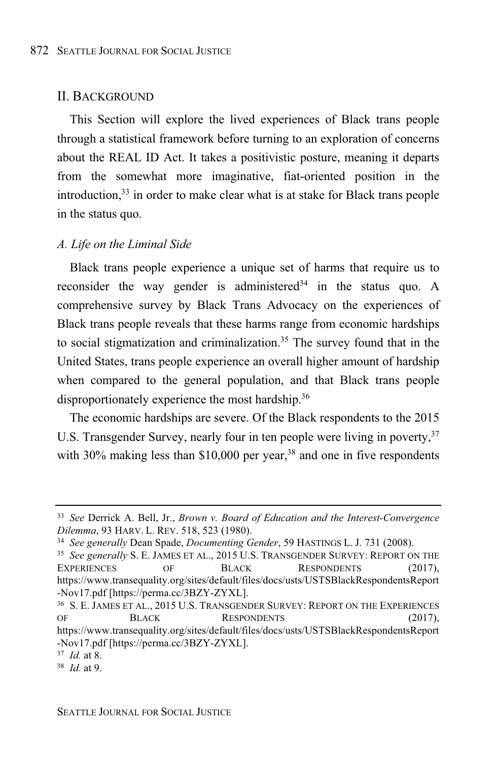#### II. BACKGROUND

This Section will explore the lived experiences of Black trans people through a statistical framework before turning to an exploration of concerns about the REAL ID Act. It takes a positivistic posture, meaning it departs from the somewhat more imaginative, fiat-oriented position in the introduction,  $33$  in order to make clear what is at stake for Black trans people in the status quo.

#### *A. Life on the Liminal Side*

Black trans people experience a unique set of harms that require us to reconsider the way gender is administered<sup>34</sup> in the status quo. A comprehensive survey by Black Trans Advocacy on the experiences of Black trans people reveals that these harms range from economic hardships to social stigmatization and criminalization. <sup>35</sup> The survey found that in the United States, trans people experience an overall higher amount of hardship when compared to the general population, and that Black trans people disproportionately experience the most hardship.<sup>36</sup>

The economic hardships are severe. Of the Black respondents to the 2015 U.S. Transgender Survey, nearly four in ten people were living in poverty.<sup>37</sup> with 30% making less than \$10,000 per year, $38$  and one in five respondents

<sup>33</sup> *See* Derrick A. Bell, Jr., *Brown v. Board of Education and the Interest-Convergence Dilemma*, 93 HARV. L. REV. 518, 523 (1980).

<sup>34</sup> *See generally* Dean Spade, *Documenting Gender*, 59 HASTINGS L. J. 731 (2008).

<sup>35</sup> *See generally* S. E. JAMES ET AL., 2015 U.S. TRANSGENDER SURVEY: REPORT ON THE EXPERIENCES OF BLACK RESPONDENTS (2017), https://www.transequality.org/sites/default/files/docs/usts/USTSBlackRespondentsReport -Nov17.pdf [https://perma.cc/3BZY-ZYXL].

<sup>36</sup> S. E. JAMES ET AL., 2015 U.S. TRANSGENDER SURVEY: REPORT ON THE EXPERIENCES OF BLACK RESPONDENTS (2017),

https://www.transequality.org/sites/default/files/docs/usts/USTSBlackRespondentsReport -Nov17.pdf [https://perma.cc/3BZY-ZYXL].

<sup>37</sup> *Id.* at 8.

<sup>38</sup> *Id.* at 9.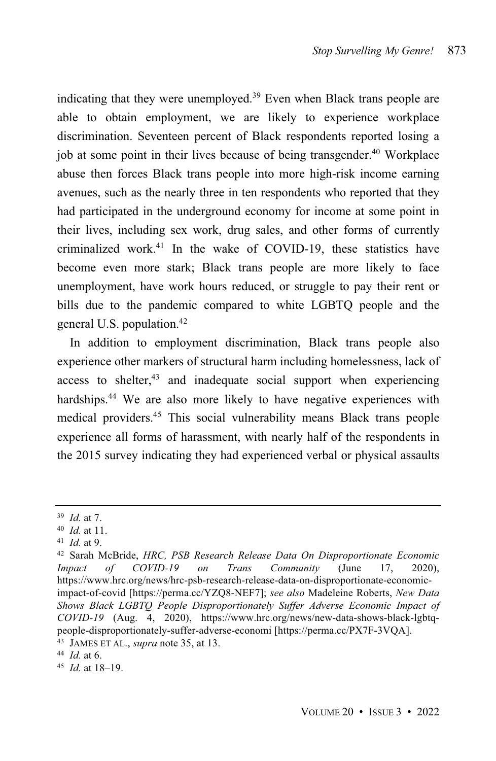indicating that they were unemployed.<sup>39</sup> Even when Black trans people are able to obtain employment, we are likely to experience workplace discrimination. Seventeen percent of Black respondents reported losing a job at some point in their lives because of being transgender. <sup>40</sup> Workplace abuse then forces Black trans people into more high-risk income earning avenues, such as the nearly three in ten respondents who reported that they had participated in the underground economy for income at some point in their lives, including sex work, drug sales, and other forms of currently criminalized work.<sup>41</sup> In the wake of COVID-19, these statistics have become even more stark; Black trans people are more likely to face unemployment, have work hours reduced, or struggle to pay their rent or bills due to the pandemic compared to white LGBTQ people and the general U.S. population.<sup>42</sup>

In addition to employment discrimination, Black trans people also experience other markers of structural harm including homelessness, lack of  $access$  to shelter, $43$  and inadequate social support when experiencing hardships.<sup>44</sup> We are also more likely to have negative experiences with medical providers.<sup>45</sup> This social vulnerability means Black trans people experience all forms of harassment, with nearly half of the respondents in the 2015 survey indicating they had experienced verbal or physical assaults

<sup>39</sup> *Id.* at 7.

<sup>40</sup> *Id.* at 11.

<sup>41</sup> *Id.* at 9.

<sup>42</sup> Sarah McBride, *HRC, PSB Research Release Data On Disproportionate Economic Impact of COVID-19 on Trans Community* (June 17, 2020), https://www.hrc.org/news/hrc-psb-research-release-data-on-disproportionate-economicimpact-of-covid [https://perma.cc/YZQ8-NEF7]; *see also* Madeleine Roberts, *New Data Shows Black LGBTQ People Disproportionately Suffer Adverse Economic Impact of COVID-19* (Aug. 4, 2020), https://www.hrc.org/news/new-data-shows-black-lgbtqpeople-disproportionately-suffer-adverse-economi [https://perma.cc/PX7F-3VQA]. <sup>43</sup> JAMES ET AL., *supra* note 35, at 13.

<sup>44</sup> *Id.* at 6.

<sup>45</sup> *Id.* at 18–19.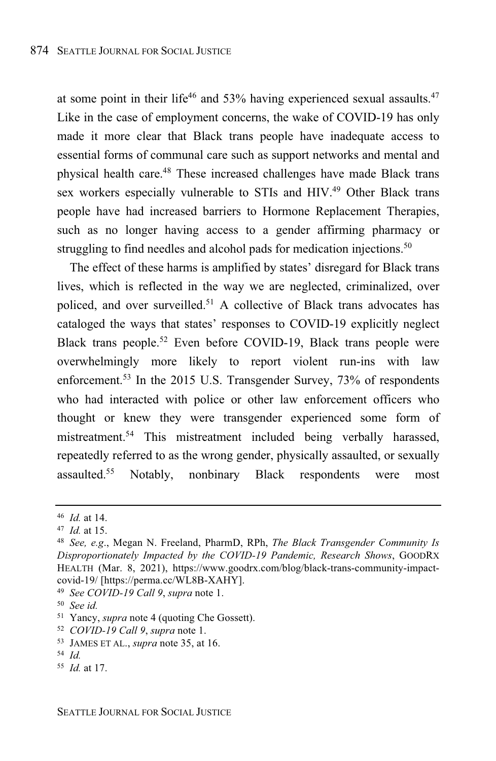at some point in their life<sup>46</sup> and 53% having experienced sexual assaults.<sup>47</sup> Like in the case of employment concerns, the wake of COVID-19 has only made it more clear that Black trans people have inadequate access to essential forms of communal care such as support networks and mental and physical health care. <sup>48</sup> These increased challenges have made Black trans sex workers especially vulnerable to STIs and HIV.<sup>49</sup> Other Black trans people have had increased barriers to Hormone Replacement Therapies, such as no longer having access to a gender affirming pharmacy or struggling to find needles and alcohol pads for medication injections.<sup>50</sup>

The effect of these harms is amplified by states' disregard for Black trans lives, which is reflected in the way we are neglected, criminalized, over policed, and over surveilled.<sup>51</sup> A collective of Black trans advocates has cataloged the ways that states' responses to COVID-19 explicitly neglect Black trans people. <sup>52</sup> Even before COVID-19, Black trans people were overwhelmingly more likely to report violent run-ins with law enforcement.<sup>53</sup> In the 2015 U.S. Transgender Survey, 73% of respondents who had interacted with police or other law enforcement officers who thought or knew they were transgender experienced some form of mistreatment.<sup>54</sup> This mistreatment included being verbally harassed, repeatedly referred to as the wrong gender, physically assaulted, or sexually assaulted.<sup>55</sup> Notably, nonbinary Black respondents were most

<sup>46</sup> *Id.* at 14.

<sup>47</sup> *Id.* at 15.

<sup>48</sup> *See, e.g*., Megan N. Freeland, PharmD, RPh, *The Black Transgender Community Is Disproportionately Impacted by the COVID-19 Pandemic, Research Shows*, GOODRX HEALTH (Mar. 8, 2021), https://www.goodrx.com/blog/black-trans-community-impactcovid-19/ [https://perma.cc/WL8B-XAHY].

<sup>49</sup> *See COVID-19 Call 9*, *supra* note 1.

<sup>50</sup> *See id.*

<sup>51</sup> Yancy, *supra* note 4 (quoting Che Gossett).

<sup>52</sup> *COVID-19 Call 9*, *supra* note 1.

<sup>53</sup> JAMES ET AL., *supra* note 35, at 16.

<sup>54</sup> *Id.*

<sup>55</sup> *Id.* at 17.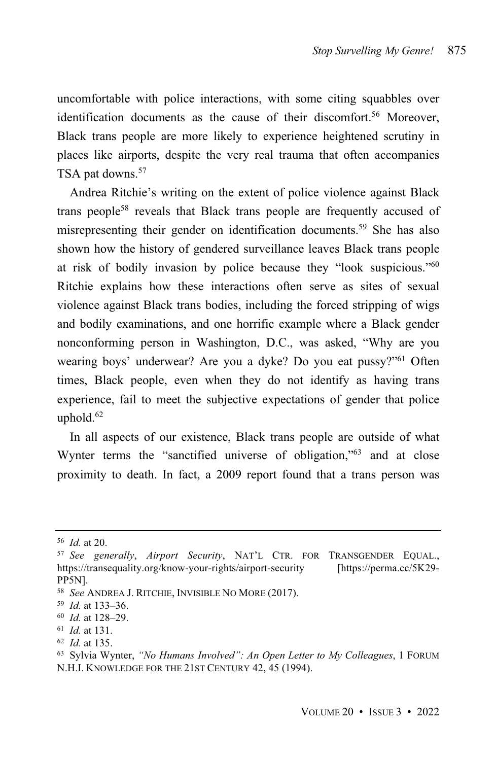uncomfortable with police interactions, with some citing squabbles over identification documents as the cause of their discomfort.<sup>56</sup> Moreover, Black trans people are more likely to experience heightened scrutiny in places like airports, despite the very real trauma that often accompanies TSA pat downs.<sup>57</sup>

Andrea Ritchie's writing on the extent of police violence against Black trans people<sup>58</sup> reveals that Black trans people are frequently accused of misrepresenting their gender on identification documents. <sup>59</sup> She has also shown how the history of gendered surveillance leaves Black trans people at risk of bodily invasion by police because they "look suspicious."<sup>60</sup> Ritchie explains how these interactions often serve as sites of sexual violence against Black trans bodies, including the forced stripping of wigs and bodily examinations, and one horrific example where a Black gender nonconforming person in Washington, D.C., was asked, "Why are you wearing boys' underwear? Are you a dyke? Do you eat pussy?"<sup>61</sup> Often times, Black people, even when they do not identify as having trans experience, fail to meet the subjective expectations of gender that police uphold. 62

In all aspects of our existence, Black trans people are outside of what Wynter terms the "sanctified universe of obligation,"<sup>63</sup> and at close proximity to death. In fact, a 2009 report found that a trans person was

<sup>56</sup> *Id.* at 20.

<sup>57</sup> *See generally*, *Airport Security*, NAT'L CTR. FOR TRANSGENDER EQUAL., https://transequality.org/know-your-rights/airport-security [https://perma.cc/5K29- PP5N].

<sup>58</sup> *See* ANDREA J. RITCHIE, INVISIBLE NO MORE (2017).

<sup>59</sup> *Id.* at 133–36.

<sup>60</sup> *Id.* at 128–29.

<sup>61</sup> *Id.* at 131.

<sup>62</sup> *Id.* at 135.

<sup>63</sup> Sylvia Wynter, *"No Humans Involved": An Open Letter to My Colleagues*, 1 FORUM N.H.I. KNOWLEDGE FOR THE 21ST CENTURY 42, 45 (1994).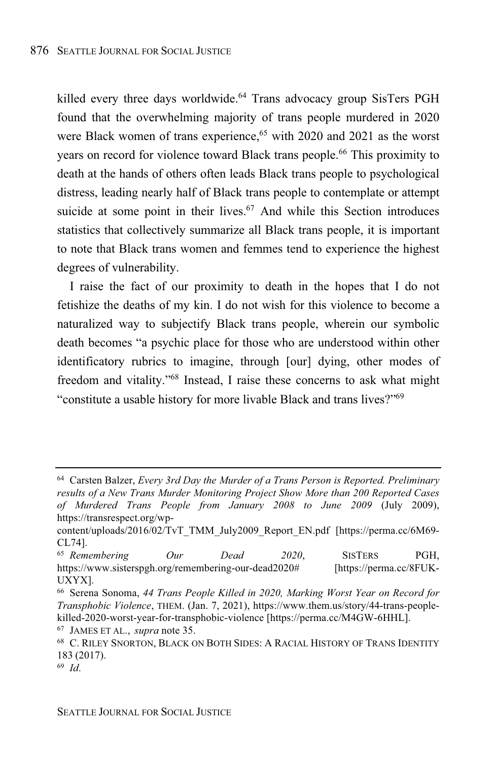killed every three days worldwide.<sup>64</sup> Trans advocacy group SisTers PGH found that the overwhelming majority of trans people murdered in 2020 were Black women of trans experience,<sup>65</sup> with 2020 and 2021 as the worst years on record for violence toward Black trans people.<sup>66</sup> This proximity to death at the hands of others often leads Black trans people to psychological distress, leading nearly half of Black trans people to contemplate or attempt suicide at some point in their lives.<sup>67</sup> And while this Section introduces statistics that collectively summarize all Black trans people, it is important to note that Black trans women and femmes tend to experience the highest degrees of vulnerability.

I raise the fact of our proximity to death in the hopes that I do not fetishize the deaths of my kin. I do not wish for this violence to become a naturalized way to subjectify Black trans people, wherein our symbolic death becomes "a psychic place for those who are understood within other identificatory rubrics to imagine, through [our] dying, other modes of freedom and vitality." <sup>68</sup> Instead, I raise these concerns to ask what might "constitute a usable history for more livable Black and trans lives?"<sup>69</sup>

<sup>64</sup> Carsten Balzer, *Every 3rd Day the Murder of a Trans Person is Reported. Preliminary results of a New Trans Murder Monitoring Project Show More than 200 Reported Cases of Murdered Trans People from January 2008 to June 2009* (July 2009), https://transrespect.org/wp-

content/uploads/2016/02/TvT\_TMM\_July2009\_Report\_EN.pdf [https://perma.cc/6M69- CL74].

<sup>65</sup> *Remembering Our Dead 2020*, SISTERS PGH, https://www.sisterspgh.org/remembering-our-dead2020# [https://perma.cc/8FUK-UXYX].

<sup>66</sup> Serena Sonoma, *44 Trans People Killed in 2020, Marking Worst Year on Record for Transphobic Violence*, THEM. (Jan. 7, 2021), https://www.them.us/story/44-trans-peoplekilled-2020-worst-year-for-transphobic-violence [https://perma.cc/M4GW-6HHL].

<sup>67</sup> JAMES ET AL., *supra* note 35.

<sup>68</sup> C. RILEY SNORTON, BLACK ON BOTH SIDES: A RACIAL HISTORY OF TRANS IDENTITY 183 (2017).

<sup>69</sup> *Id*.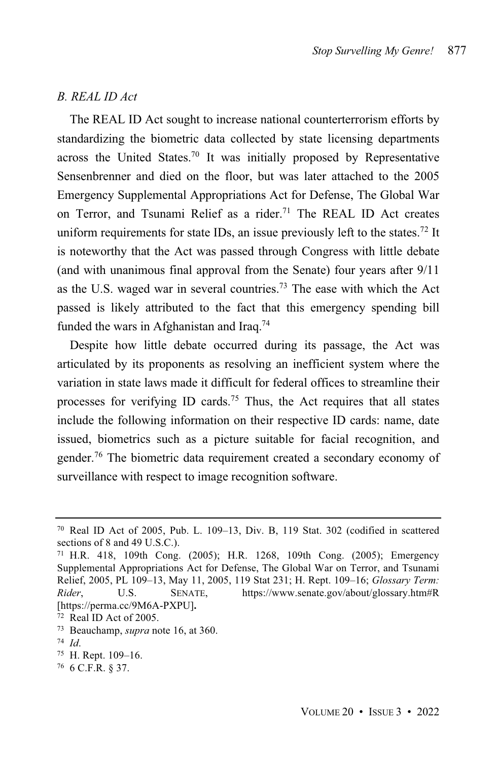# *B. REAL ID Act*

The REAL ID Act sought to increase national counterterrorism efforts by standardizing the biometric data collected by state licensing departments across the United States.<sup>70</sup> It was initially proposed by Representative Sensenbrenner and died on the floor, but was later attached to the 2005 Emergency Supplemental Appropriations Act for Defense, The Global War on Terror, and Tsunami Relief as a rider.<sup>71</sup> The REAL ID Act creates uniform requirements for state IDs, an issue previously left to the states.<sup>72</sup> It is noteworthy that the Act was passed through Congress with little debate (and with unanimous final approval from the Senate) four years after 9/11 as the U.S. waged war in several countries.<sup>73</sup> The ease with which the Act passed is likely attributed to the fact that this emergency spending bill funded the wars in Afghanistan and Iraq.<sup>74</sup>

Despite how little debate occurred during its passage, the Act was articulated by its proponents as resolving an inefficient system where the variation in state laws made it difficult for federal offices to streamline their processes for verifying ID cards.<sup>75</sup> Thus, the Act requires that all states include the following information on their respective ID cards: name, date issued, biometrics such as a picture suitable for facial recognition, and gender.<sup>76</sup> The biometric data requirement created a secondary economy of surveillance with respect to image recognition software.

<sup>70</sup> Real ID Act of 2005, Pub. L. 109–13, Div. B, 119 Stat. 302 (codified in scattered sections of 8 and 49 U.S.C.).

<sup>71</sup> H.R. 418, 109th Cong. (2005); H.R. 1268, 109th Cong. (2005); Emergency Supplemental Appropriations Act for Defense, The Global War on Terror, and Tsunami Relief, 2005, PL 109–13, May 11, 2005, 119 Stat 231; H. Rept. 109–16; *Glossary Term: Rider*, U.S. SENATE, https://www.senate.gov/about/glossary.htm#R [https://perma.cc/9M6A-PXPU]**.**

<sup>72</sup> Real ID Act of 2005.

<sup>73</sup> Beauchamp, *supra* note 16, at 360.

<sup>74</sup> *Id*.

<sup>75</sup> H. Rept. 109–16.

<sup>76</sup> 6 C.F.R. § 37.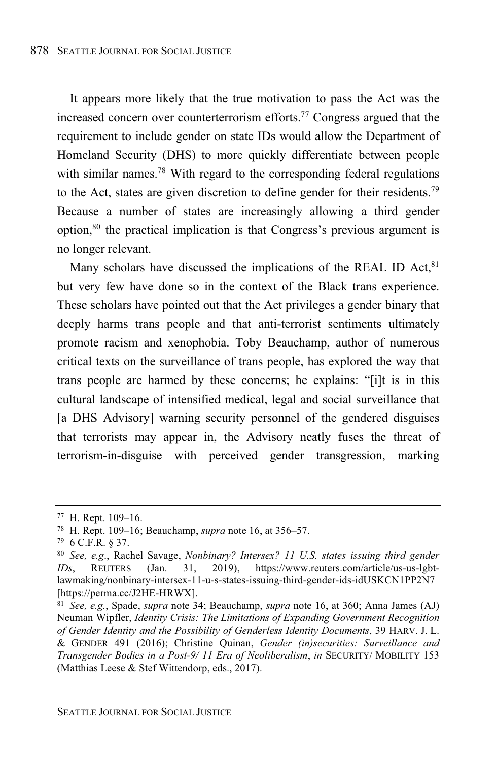It appears more likely that the true motivation to pass the Act was the increased concern over counterterrorism efforts.<sup>77</sup> Congress argued that the requirement to include gender on state IDs would allow the Department of Homeland Security (DHS) to more quickly differentiate between people with similar names.<sup>78</sup> With regard to the corresponding federal regulations to the Act, states are given discretion to define gender for their residents.<sup>79</sup> Because a number of states are increasingly allowing a third gender option, $80$  the practical implication is that Congress's previous argument is no longer relevant.

Many scholars have discussed the implications of the REAL ID Act, 81 but very few have done so in the context of the Black trans experience. These scholars have pointed out that the Act privileges a gender binary that deeply harms trans people and that anti-terrorist sentiments ultimately promote racism and xenophobia. Toby Beauchamp, author of numerous critical texts on the surveillance of trans people, has explored the way that trans people are harmed by these concerns; he explains: "[i]t is in this cultural landscape of intensified medical, legal and social surveillance that [a DHS Advisory] warning security personnel of the gendered disguises that terrorists may appear in, the Advisory neatly fuses the threat of terrorism-in-disguise with perceived gender transgression, marking

<sup>77</sup> H. Rept. 109–16.

<sup>78</sup> H. Rept. 109–16; Beauchamp, *supra* note 16, at 356–57.

<sup>79</sup> 6 C.F.R. § 37.

<sup>80</sup> *See, e.g*., Rachel Savage, *Nonbinary? Intersex? 11 U.S. states issuing third gender IDs*, REUTERS (Jan. 31, 2019), https://www.reuters.com/article/us-us-lgbtlawmaking/nonbinary-intersex-11-u-s-states-issuing-third-gender-ids-idUSKCN1PP2N7 [https://perma.cc/J2HE-HRWX].

<sup>81</sup> *See, e.g.*, Spade, *supra* note 34; Beauchamp, *supra* note 16, at 360; Anna James (AJ) Neuman Wipfler, *Identity Crisis: The Limitations of Expanding Government Recognition of Gender Identity and the Possibility of Genderless Identity Documents*, 39 HARV. J. L. & GENDER 491 (2016); Christine Quinan, *Gender (in)securities: Surveillance and Transgender Bodies in a Post-9/ 11 Era of Neoliberalism*, *in* SECURITY/ MOBILITY 153 (Matthias Leese & Stef Wittendorp, eds., 2017).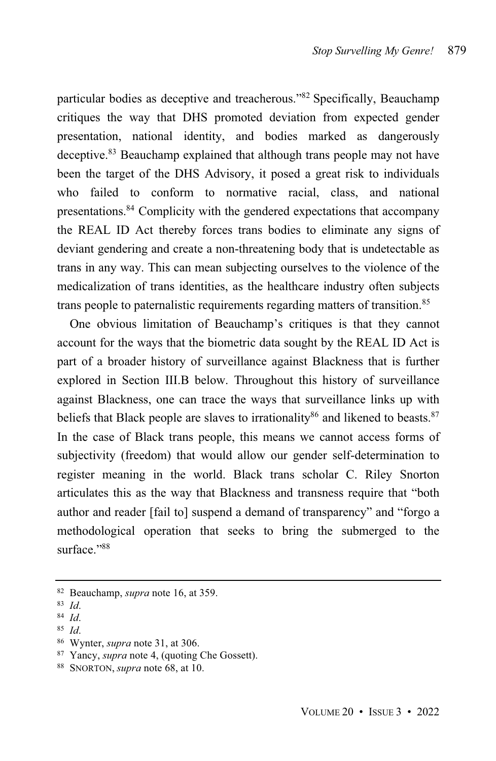particular bodies as deceptive and treacherous."<sup>82</sup> Specifically, Beauchamp critiques the way that DHS promoted deviation from expected gender presentation, national identity, and bodies marked as dangerously deceptive.<sup>83</sup> Beauchamp explained that although trans people may not have been the target of the DHS Advisory, it posed a great risk to individuals who failed to conform to normative racial, class, and national presentations.<sup>84</sup> Complicity with the gendered expectations that accompany the REAL ID Act thereby forces trans bodies to eliminate any signs of deviant gendering and create a non-threatening body that is undetectable as trans in any way. This can mean subjecting ourselves to the violence of the medicalization of trans identities, as the healthcare industry often subjects trans people to paternalistic requirements regarding matters of transition. 85

One obvious limitation of Beauchamp's critiques is that they cannot account for the ways that the biometric data sought by the REAL ID Act is part of a broader history of surveillance against Blackness that is further explored in Section III.B below. Throughout this history of surveillance against Blackness, one can trace the ways that surveillance links up with beliefs that Black people are slaves to irrationality<sup>86</sup> and likened to beasts.<sup>87</sup> In the case of Black trans people, this means we cannot access forms of subjectivity (freedom) that would allow our gender self-determination to register meaning in the world. Black trans scholar C. Riley Snorton articulates this as the way that Blackness and transness require that "both author and reader [fail to] suspend a demand of transparency" and "forgo a methodological operation that seeks to bring the submerged to the surface."88

<sup>82</sup> Beauchamp, *supra* note 16, at 359.

<sup>83</sup> *Id*.

<sup>84</sup> *Id*.

<sup>85</sup> *Id*.

<sup>86</sup> Wynter, *supra* note 31, at 306.

<sup>87</sup> Yancy, *supra* note 4, (quoting Che Gossett).

<sup>88</sup> SNORTON, *supra* note 68, at 10.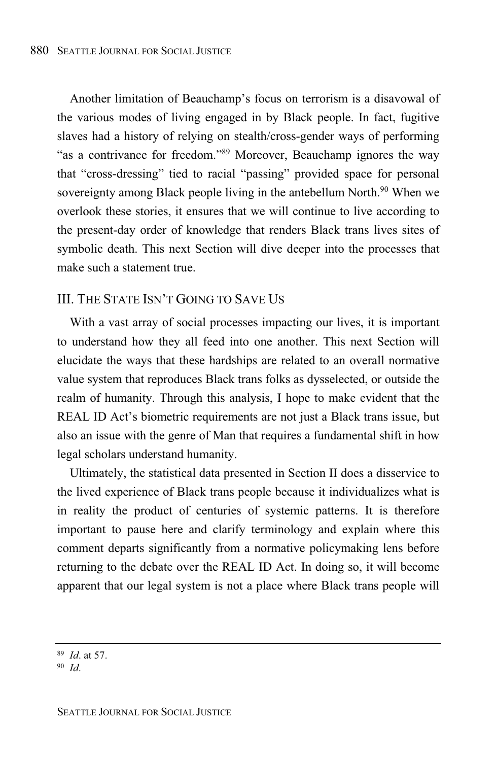Another limitation of Beauchamp's focus on terrorism is a disavowal of the various modes of living engaged in by Black people. In fact, fugitive slaves had a history of relying on stealth/cross-gender ways of performing "as a contrivance for freedom."<sup>89</sup> Moreover, Beauchamp ignores the way that "cross-dressing" tied to racial "passing" provided space for personal sovereignty among Black people living in the antebellum North.<sup>90</sup> When we overlook these stories, it ensures that we will continue to live according to the present-day order of knowledge that renders Black trans lives sites of symbolic death. This next Section will dive deeper into the processes that make such a statement true.

# III. THE STATE ISN'T GOING TO SAVE US

With a vast array of social processes impacting our lives, it is important to understand how they all feed into one another. This next Section will elucidate the ways that these hardships are related to an overall normative value system that reproduces Black trans folks as dysselected, or outside the realm of humanity. Through this analysis, I hope to make evident that the REAL ID Act's biometric requirements are not just a Black trans issue, but also an issue with the genre of Man that requires a fundamental shift in how legal scholars understand humanity.

Ultimately, the statistical data presented in Section II does a disservice to the lived experience of Black trans people because it individualizes what is in reality the product of centuries of systemic patterns. It is therefore important to pause here and clarify terminology and explain where this comment departs significantly from a normative policymaking lens before returning to the debate over the REAL ID Act. In doing so, it will become apparent that our legal system is not a place where Black trans people will

<sup>89</sup> *Id*. at 57.

<sup>90</sup> *Id*.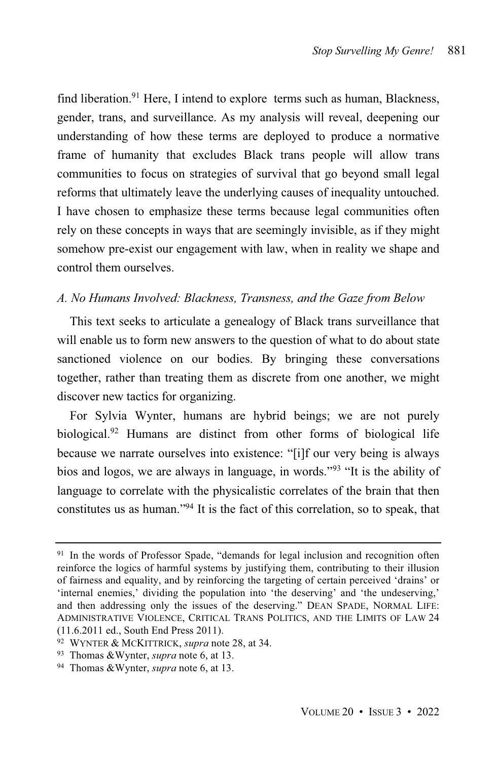find liberation.<sup>91</sup> Here, I intend to explore terms such as human, Blackness, gender, trans, and surveillance. As my analysis will reveal, deepening our understanding of how these terms are deployed to produce a normative frame of humanity that excludes Black trans people will allow trans communities to focus on strategies of survival that go beyond small legal reforms that ultimately leave the underlying causes of inequality untouched. I have chosen to emphasize these terms because legal communities often rely on these concepts in ways that are seemingly invisible, as if they might somehow pre-exist our engagement with law, when in reality we shape and control them ourselves.

# *A. No Humans Involved: Blackness, Transness, and the Gaze from Below*

This text seeks to articulate a genealogy of Black trans surveillance that will enable us to form new answers to the question of what to do about state sanctioned violence on our bodies. By bringing these conversations together, rather than treating them as discrete from one another, we might discover new tactics for organizing.

For Sylvia Wynter, humans are hybrid beings; we are not purely biological. <sup>92</sup> Humans are distinct from other forms of biological life because we narrate ourselves into existence: "[i]f our very being is always bios and logos, we are always in language, in words."<sup>93</sup> "It is the ability of language to correlate with the physicalistic correlates of the brain that then constitutes us as human." <sup>94</sup> It is the fact of this correlation, so to speak, that

<sup>&</sup>lt;sup>91</sup> In the words of Professor Spade, "demands for legal inclusion and recognition often reinforce the logics of harmful systems by justifying them, contributing to their illusion of fairness and equality, and by reinforcing the targeting of certain perceived 'drains' or 'internal enemies,' dividing the population into 'the deserving' and 'the undeserving,' and then addressing only the issues of the deserving." DEAN SPADE, NORMAL LIFE: ADMINISTRATIVE VIOLENCE, CRITICAL TRANS POLITICS, AND THE LIMITS OF LAW 24 (11.6.2011 ed., South End Press 2011).

<sup>92</sup> WYNTER & MCKITTRICK, *supra* note 28, at 34.

<sup>93</sup> Thomas &Wynter, *supra* note 6, at 13.

<sup>94</sup> Thomas &Wynter, *supra* note 6, at 13.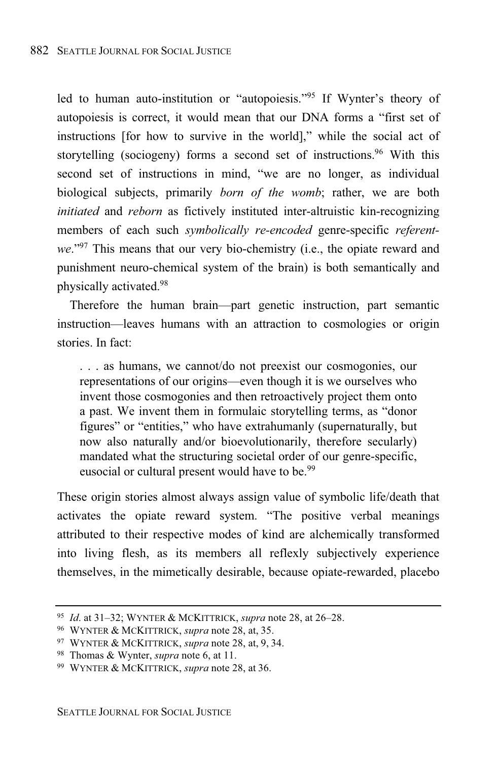led to human auto-institution or "autopoiesis."<sup>95</sup> If Wynter's theory of autopoiesis is correct, it would mean that our DNA forms a "first set of instructions [for how to survive in the world]," while the social act of storytelling (sociogeny) forms a second set of instructions. <sup>96</sup> With this second set of instructions in mind, "we are no longer, as individual biological subjects, primarily *born of the womb*; rather, we are both *initiated* and *reborn* as fictively instituted inter-altruistic kin-recognizing members of each such *symbolically re-encoded* genre-specific *referentwe*."<sup>97</sup> This means that our very bio-chemistry (i.e., the opiate reward and punishment neuro-chemical system of the brain) is both semantically and physically activated.<sup>98</sup>

Therefore the human brain—part genetic instruction, part semantic instruction—leaves humans with an attraction to cosmologies or origin stories. In fact:

. . . as humans, we cannot/do not preexist our cosmogonies, our representations of our origins—even though it is we ourselves who invent those cosmogonies and then retroactively project them onto a past. We invent them in formulaic storytelling terms, as "donor figures" or "entities," who have extrahumanly (supernaturally, but now also naturally and/or bioevolutionarily, therefore secularly) mandated what the structuring societal order of our genre-specific, eusocial or cultural present would have to be.<sup>99</sup>

These origin stories almost always assign value of symbolic life/death that activates the opiate reward system. "The positive verbal meanings attributed to their respective modes of kind are alchemically transformed into living flesh, as its members all reflexly subjectively experience themselves, in the mimetically desirable, because opiate-rewarded, placebo

<sup>95</sup> *Id*. at 31–32; WYNTER & MCKITTRICK, *supra* note 28, at 26–28.

<sup>96</sup> WYNTER & MCKITTRICK, *supra* note 28, at, 35.

<sup>97</sup> WYNTER & MCKITTRICK, *supra* note 28, at, 9, 34.

<sup>98</sup> Thomas & Wynter, *supra* note 6, at 11.

<sup>99</sup> WYNTER & MCKITTRICK, *supra* note 28, at 36.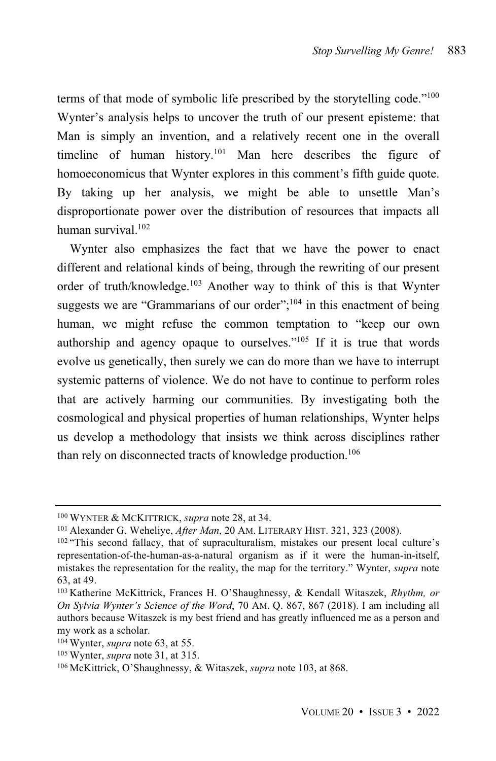terms of that mode of symbolic life prescribed by the storytelling code."<sup>100</sup> Wynter's analysis helps to uncover the truth of our present episteme: that Man is simply an invention, and a relatively recent one in the overall timeline of human history. <sup>101</sup> Man here describes the figure of homoeconomicus that Wynter explores in this comment's fifth guide quote. By taking up her analysis, we might be able to unsettle Man's disproportionate power over the distribution of resources that impacts all human survival. 102

Wynter also emphasizes the fact that we have the power to enact different and relational kinds of being, through the rewriting of our present order of truth/knowledge. <sup>103</sup> Another way to think of this is that Wynter suggests we are "Grammarians of our order";<sup>104</sup> in this enactment of being human, we might refuse the common temptation to "keep our own authorship and agency opaque to ourselves."<sup>105</sup> If it is true that words evolve us genetically, then surely we can do more than we have to interrupt systemic patterns of violence. We do not have to continue to perform roles that are actively harming our communities. By investigating both the cosmological and physical properties of human relationships, Wynter helps us develop a methodology that insists we think across disciplines rather than rely on disconnected tracts of knowledge production.<sup>106</sup>

<sup>100</sup> WYNTER & MCKITTRICK, *supra* note 28, at 34.

<sup>101</sup> Alexander G. Weheliye, *After Man*, 20 AM. LITERARY HIST. 321, 323 (2008).

<sup>102</sup> "This second fallacy, that of supraculturalism, mistakes our present local culture's representation-of-the-human-as-a-natural organism as if it were the human-in-itself, mistakes the representation for the reality, the map for the territory." Wynter, *supra* note 63, at 49.

<sup>103</sup> Katherine McKittrick, Frances H. O'Shaughnessy, & Kendall Witaszek, *Rhythm, or On Sylvia Wynter's Science of the Word*, 70 AM. Q. 867, 867 (2018). I am including all authors because Witaszek is my best friend and has greatly influenced me as a person and my work as a scholar.

<sup>104</sup> Wynter, *supra* note 63, at 55.

<sup>105</sup> Wynter, *supra* note 31, at 315.

<sup>106</sup> McKittrick, O'Shaughnessy, & Witaszek, *supra* note 103, at 868.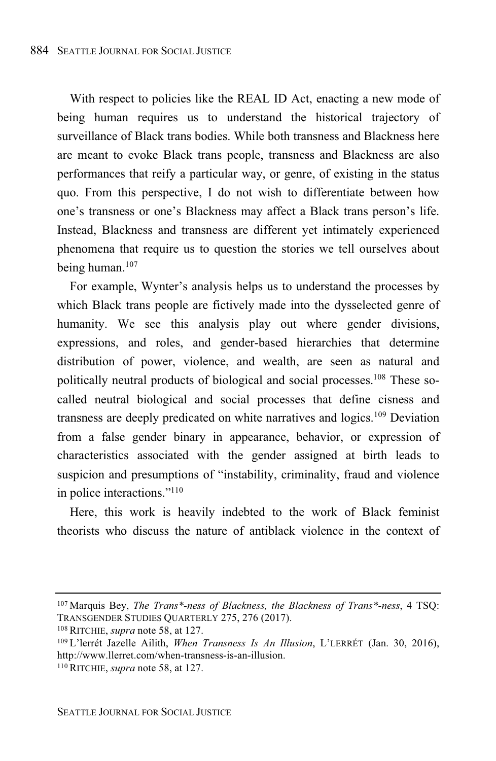With respect to policies like the REAL ID Act, enacting a new mode of being human requires us to understand the historical trajectory of surveillance of Black trans bodies. While both transness and Blackness here are meant to evoke Black trans people, transness and Blackness are also performances that reify a particular way, or genre, of existing in the status quo. From this perspective, I do not wish to differentiate between how one's transness or one's Blackness may affect a Black trans person's life. Instead, Blackness and transness are different yet intimately experienced phenomena that require us to question the stories we tell ourselves about being human.<sup>107</sup>

For example, Wynter's analysis helps us to understand the processes by which Black trans people are fictively made into the dysselected genre of humanity. We see this analysis play out where gender divisions, expressions, and roles, and gender-based hierarchies that determine distribution of power, violence, and wealth, are seen as natural and politically neutral products of biological and social processes. <sup>108</sup> These socalled neutral biological and social processes that define cisness and transness are deeply predicated on white narratives and logics.<sup>109</sup> Deviation from a false gender binary in appearance, behavior, or expression of characteristics associated with the gender assigned at birth leads to suspicion and presumptions of "instability, criminality, fraud and violence in police interactions." 110

Here, this work is heavily indebted to the work of Black feminist theorists who discuss the nature of antiblack violence in the context of

<sup>107</sup> Marquis Bey, *The Trans\*-ness of Blackness, the Blackness of Trans\*-ness*, 4 TSQ: TRANSGENDER STUDIES QUARTERLY 275, 276 (2017).

<sup>108</sup> RITCHIE, *supra* note 58, at 127.

<sup>109</sup> L'lerrét Jazelle Ailith, *When Transness Is An Illusion*, L'LERRÉT (Jan. 30, 2016), http://www.llerret.com/when-transness-is-an-illusion.

<sup>110</sup> RITCHIE, *supra* note 58, at 127.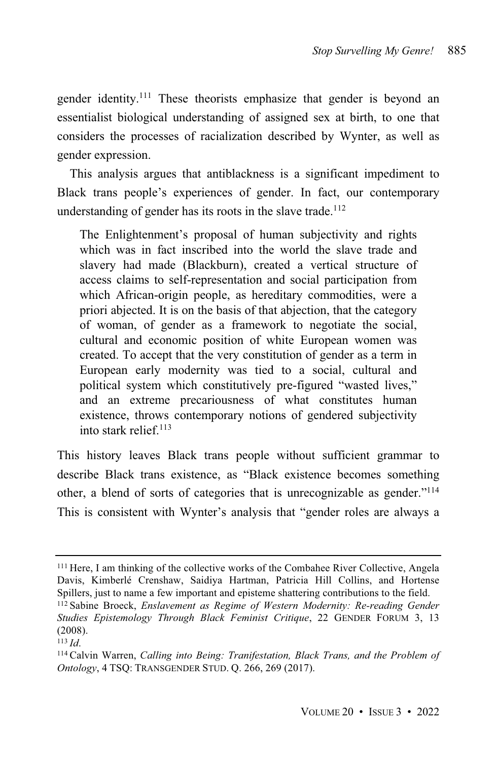gender identity. <sup>111</sup> These theorists emphasize that gender is beyond an essentialist biological understanding of assigned sex at birth, to one that considers the processes of racialization described by Wynter, as well as gender expression.

This analysis argues that antiblackness is a significant impediment to Black trans people's experiences of gender. In fact, our contemporary understanding of gender has its roots in the slave trade.<sup>112</sup>

The Enlightenment's proposal of human subjectivity and rights which was in fact inscribed into the world the slave trade and slavery had made (Blackburn), created a vertical structure of access claims to self-representation and social participation from which African-origin people, as hereditary commodities, were a priori abjected. It is on the basis of that abjection, that the category of woman, of gender as a framework to negotiate the social, cultural and economic position of white European women was created. To accept that the very constitution of gender as a term in European early modernity was tied to a social, cultural and political system which constitutively pre-figured "wasted lives," and an extreme precariousness of what constitutes human existence, throws contemporary notions of gendered subjectivity into stark relief. 113

This history leaves Black trans people without sufficient grammar to describe Black trans existence, as "Black existence becomes something other, a blend of sorts of categories that is unrecognizable as gender."<sup>114</sup> This is consistent with Wynter's analysis that "gender roles are always a

<sup>111</sup> Here, I am thinking of the collective works of the Combahee River Collective, Angela Davis, Kimberlé Crenshaw, Saidiya Hartman, Patricia Hill Collins, and Hortense Spillers, just to name a few important and episteme shattering contributions to the field.

<sup>112</sup> Sabine Broeck, *Enslavement as Regime of Western Modernity: Re-reading Gender Studies Epistemology Through Black Feminist Critique*, 22 GENDER FORUM 3, 13 (2008).

<sup>113</sup> *Id*.

<sup>114</sup> Calvin Warren, *Calling into Being: Tranifestation, Black Trans, and the Problem of Ontology*, 4 TSQ: TRANSGENDER STUD. Q. 266, 269 (2017).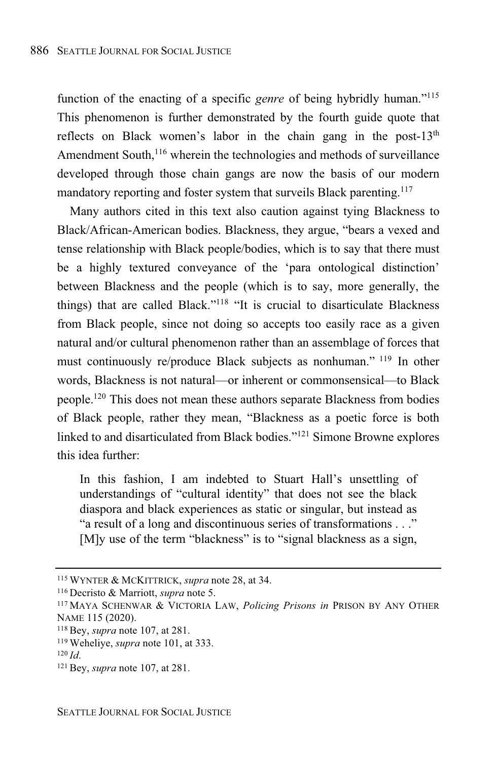function of the enacting of a specific *genre* of being hybridly human."<sup>115</sup> This phenomenon is further demonstrated by the fourth guide quote that reflects on Black women's labor in the chain gang in the post- $13<sup>th</sup>$ Amendment South,<sup>116</sup> wherein the technologies and methods of surveillance developed through those chain gangs are now the basis of our modern mandatory reporting and foster system that surveils Black parenting. 117

Many authors cited in this text also caution against tying Blackness to Black/African-American bodies. Blackness, they argue, "bears a vexed and tense relationship with Black people/bodies, which is to say that there must be a highly textured conveyance of the 'para ontological distinction' between Blackness and the people (which is to say, more generally, the things) that are called Black." <sup>118</sup> "It is crucial to disarticulate Blackness from Black people, since not doing so accepts too easily race as a given natural and/or cultural phenomenon rather than an assemblage of forces that must continuously re/produce Black subjects as nonhuman." <sup>119</sup> In other words, Blackness is not natural—or inherent or commonsensical—to Black people.<sup>120</sup> This does not mean these authors separate Blackness from bodies of Black people, rather they mean, "Blackness as a poetic force is both linked to and disarticulated from Black bodies."<sup>121</sup> Simone Browne explores this idea further:

In this fashion, I am indebted to Stuart Hall's unsettling of understandings of "cultural identity" that does not see the black diaspora and black experiences as static or singular, but instead as "a result of a long and discontinuous series of transformations . . ." [M]y use of the term "blackness" is to "signal blackness as a sign,

<sup>115</sup> WYNTER & MCKITTRICK, *supra* note 28, at 34.

<sup>116</sup> Decristo & Marriott, *supra* note 5.

<sup>117</sup> MAYA SCHENWAR & VICTORIA LAW, *Policing Prisons in* PRISON BY ANY OTHER NAME 115 (2020).

<sup>118</sup> Bey, *supra* note 107, at 281.

<sup>119</sup> Weheliye, *supra* note 101, at 333.

<sup>120</sup> *Id*.

<sup>121</sup> Bey, *supra* note 107, at 281.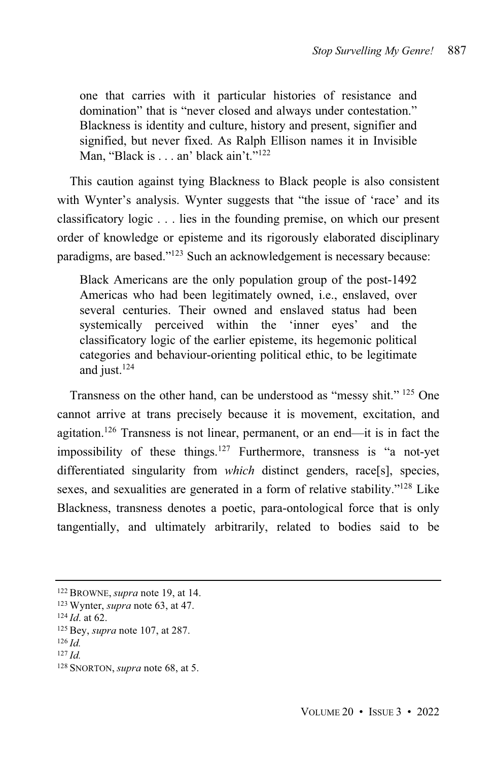one that carries with it particular histories of resistance and domination" that is "never closed and always under contestation." Blackness is identity and culture, history and present, signifier and signified, but never fixed. As Ralph Ellison names it in Invisible Man, "Black is . . . an' black ain't."<sup>122</sup>

This caution against tying Blackness to Black people is also consistent with Wynter's analysis. Wynter suggests that "the issue of 'race' and its classificatory logic . . . lies in the founding premise, on which our present order of knowledge or episteme and its rigorously elaborated disciplinary paradigms, are based."<sup>123</sup> Such an acknowledgement is necessary because:

Black Americans are the only population group of the post-1492 Americas who had been legitimately owned, i.e., enslaved, over several centuries. Their owned and enslaved status had been systemically perceived within the 'inner eyes' and the classificatory logic of the earlier episteme, its hegemonic political categories and behaviour-orienting political ethic, to be legitimate and just. 124

Transness on the other hand, can be understood as "messy shit." <sup>125</sup> One cannot arrive at trans precisely because it is movement, excitation, and agitation.<sup>126</sup> Transness is not linear, permanent, or an end—it is in fact the impossibility of these things.<sup>127</sup> Furthermore, transness is "a not-yet differentiated singularity from *which* distinct genders, race[s], species, sexes, and sexualities are generated in a form of relative stability."<sup>128</sup> Like Blackness, transness denotes a poetic, para-ontological force that is only tangentially, and ultimately arbitrarily, related to bodies said to be

<sup>122</sup> BROWNE, *supra* note 19, at 14.

<sup>123</sup> Wynter, *supra* note 63, at 47.

<sup>124</sup> *Id*. at 62.

<sup>125</sup> Bey, *supra* note 107, at 287.

<sup>126</sup> *Id.*

<sup>127</sup> *Id.*

<sup>128</sup> SNORTON, *supra* note 68, at 5.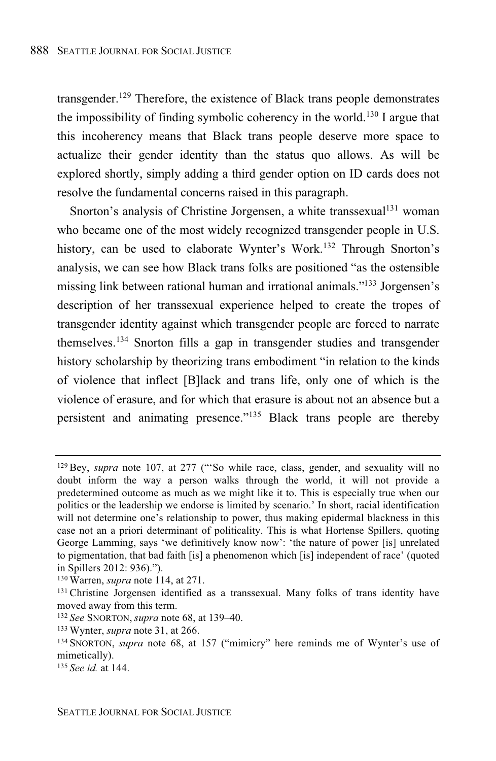transgender.<sup>129</sup> Therefore, the existence of Black trans people demonstrates the impossibility of finding symbolic coherency in the world. <sup>130</sup> I argue that this incoherency means that Black trans people deserve more space to actualize their gender identity than the status quo allows. As will be explored shortly, simply adding a third gender option on ID cards does not resolve the fundamental concerns raised in this paragraph.

Snorton's analysis of Christine Jorgensen, a white transsexual  $131$  woman who became one of the most widely recognized transgender people in U.S. history, can be used to elaborate Wynter's Work.<sup>132</sup> Through Snorton's analysis, we can see how Black trans folks are positioned "as the ostensible missing link between rational human and irrational animals."<sup>133</sup> Jorgensen's description of her transsexual experience helped to create the tropes of transgender identity against which transgender people are forced to narrate themselves.<sup>134</sup> Snorton fills a gap in transgender studies and transgender history scholarship by theorizing trans embodiment "in relation to the kinds of violence that inflect [B]lack and trans life, only one of which is the violence of erasure, and for which that erasure is about not an absence but a persistent and animating presence."<sup>135</sup> Black trans people are thereby

<sup>129</sup> Bey, *supra* note 107, at 277 ("'So while race, class, gender, and sexuality will no doubt inform the way a person walks through the world, it will not provide a predetermined outcome as much as we might like it to. This is especially true when our politics or the leadership we endorse is limited by scenario.' In short, racial identification will not determine one's relationship to power, thus making epidermal blackness in this case not an a priori determinant of politicality. This is what Hortense Spillers, quoting George Lamming, says 'we definitively know now': 'the nature of power [is] unrelated to pigmentation, that bad faith [is] a phenomenon which [is] independent of race' (quoted in Spillers 2012: 936).").

<sup>130</sup> Warren, *supra* note 114, at 271.

<sup>&</sup>lt;sup>131</sup> Christine Jorgensen identified as a transsexual. Many folks of trans identity have moved away from this term.

<sup>132</sup> *See* SNORTON, *supra* note 68, at 139–40.

<sup>133</sup> Wynter, *supra* note 31, at 266.

<sup>134</sup> SNORTON, *supra* note 68, at 157 ("mimicry" here reminds me of Wynter's use of mimetically).

<sup>135</sup> *See id.* at 144.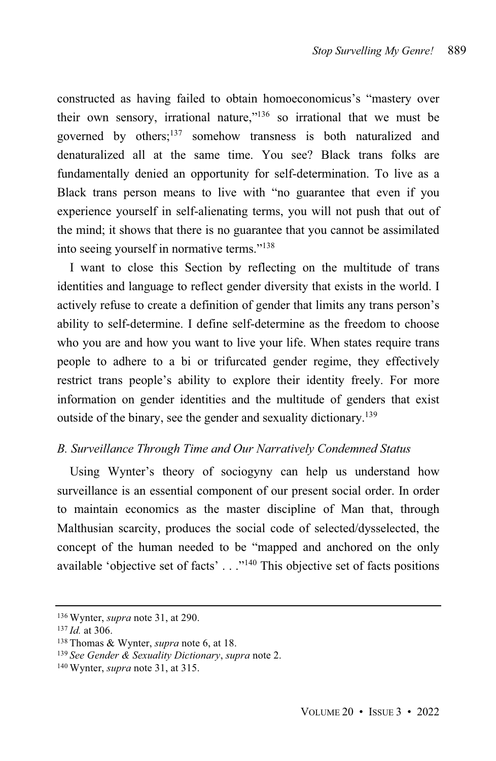constructed as having failed to obtain homoeconomicus's "mastery over their own sensory, irrational nature,"<sup>136</sup> so irrational that we must be governed by others; <sup>137</sup> somehow transness is both naturalized and denaturalized all at the same time. You see? Black trans folks are fundamentally denied an opportunity for self-determination. To live as a Black trans person means to live with "no guarantee that even if you experience yourself in self-alienating terms, you will not push that out of the mind; it shows that there is no guarantee that you cannot be assimilated into seeing yourself in normative terms."<sup>138</sup>

I want to close this Section by reflecting on the multitude of trans identities and language to reflect gender diversity that exists in the world. I actively refuse to create a definition of gender that limits any trans person's ability to self-determine. I define self-determine as the freedom to choose who you are and how you want to live your life. When states require trans people to adhere to a bi or trifurcated gender regime, they effectively restrict trans people's ability to explore their identity freely. For more information on gender identities and the multitude of genders that exist outside of the binary, see the gender and sexuality dictionary. 139

# *B. Surveillance Through Time and Our Narratively Condemned Status*

Using Wynter's theory of sociogyny can help us understand how surveillance is an essential component of our present social order. In order to maintain economics as the master discipline of Man that, through Malthusian scarcity, produces the social code of selected/dysselected, the concept of the human needed to be "mapped and anchored on the only available 'objective set of facts' . . ."<sup>140</sup> This objective set of facts positions

<sup>136</sup> Wynter, *supra* note 31, at 290.

<sup>137</sup> *Id.* at 306.

<sup>138</sup> Thomas & Wynter, *supra* note 6, at 18.

<sup>139</sup> *See Gender & Sexuality Dictionary*, *supra* note 2.

<sup>140</sup> Wynter, *supra* note 31, at 315.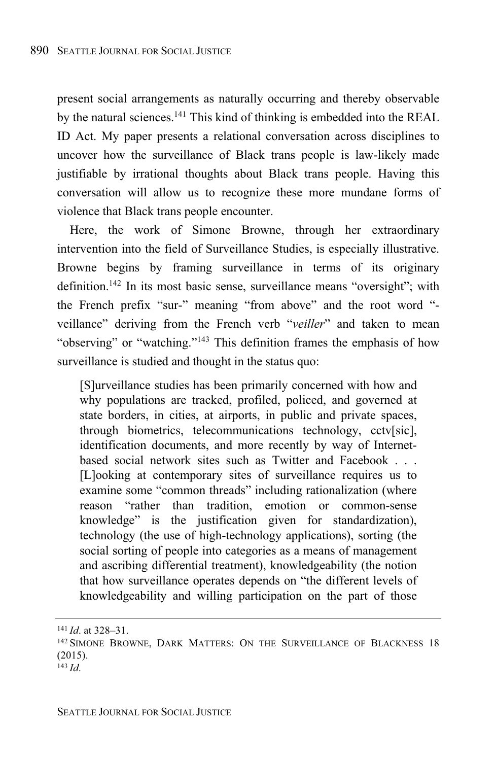present social arrangements as naturally occurring and thereby observable by the natural sciences.<sup>141</sup> This kind of thinking is embedded into the REAL ID Act. My paper presents a relational conversation across disciplines to uncover how the surveillance of Black trans people is law-likely made justifiable by irrational thoughts about Black trans people. Having this conversation will allow us to recognize these more mundane forms of violence that Black trans people encounter.

Here, the work of Simone Browne, through her extraordinary intervention into the field of Surveillance Studies, is especially illustrative. Browne begins by framing surveillance in terms of its originary definition.<sup>142</sup> In its most basic sense, surveillance means "oversight"; with the French prefix "sur-" meaning "from above" and the root word " veillance" deriving from the French verb "*veiller*" and taken to mean "observing" or "watching."<sup>143</sup> This definition frames the emphasis of how surveillance is studied and thought in the status quo:

[S]urveillance studies has been primarily concerned with how and why populations are tracked, profiled, policed, and governed at state borders, in cities, at airports, in public and private spaces, through biometrics, telecommunications technology, cctv[sic], identification documents, and more recently by way of Internetbased social network sites such as Twitter and Facebook . . . [L]ooking at contemporary sites of surveillance requires us to examine some "common threads" including rationalization (where reason "rather than tradition, emotion or common-sense knowledge" is the justification given for standardization), technology (the use of high-technology applications), sorting (the social sorting of people into categories as a means of management and ascribing differential treatment), knowledgeability (the notion that how surveillance operates depends on "the different levels of knowledgeability and willing participation on the part of those

<sup>141</sup> *Id*. at 328–31.

<sup>&</sup>lt;sup>142</sup> SIMONE BROWNE, DARK MATTERS: ON THE SURVEILLANCE OF BLACKNESS 18 (2015).

<sup>143</sup> *Id*.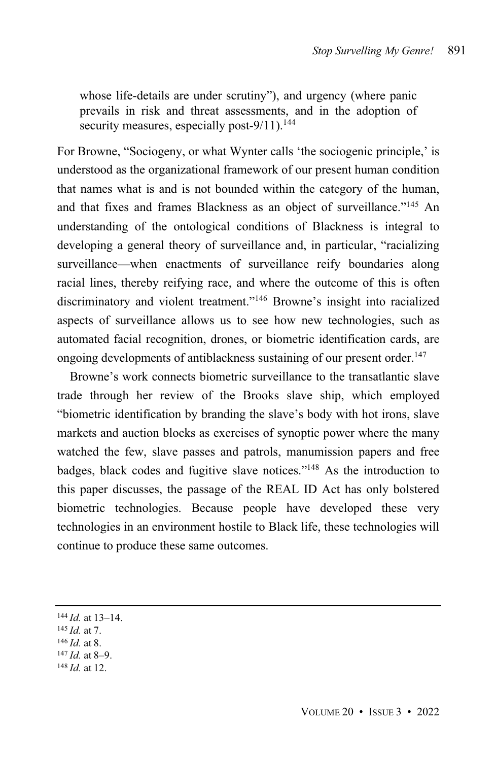whose life-details are under scrutiny"), and urgency (where panic prevails in risk and threat assessments, and in the adoption of security measures, especially post-9/11).<sup>144</sup>

For Browne, "Sociogeny, or what Wynter calls 'the sociogenic principle,' is understood as the organizational framework of our present human condition that names what is and is not bounded within the category of the human, and that fixes and frames Blackness as an object of surveillance."<sup>145</sup> An understanding of the ontological conditions of Blackness is integral to developing a general theory of surveillance and, in particular, "racializing surveillance—when enactments of surveillance reify boundaries along racial lines, thereby reifying race, and where the outcome of this is often discriminatory and violent treatment."<sup>146</sup> Browne's insight into racialized aspects of surveillance allows us to see how new technologies, such as automated facial recognition, drones, or biometric identification cards, are ongoing developments of antiblackness sustaining of our present order. 147

Browne's work connects biometric surveillance to the transatlantic slave trade through her review of the Brooks slave ship, which employed "biometric identification by branding the slave's body with hot irons, slave markets and auction blocks as exercises of synoptic power where the many watched the few, slave passes and patrols, manumission papers and free badges, black codes and fugitive slave notices."<sup>148</sup> As the introduction to this paper discusses, the passage of the REAL ID Act has only bolstered biometric technologies. Because people have developed these very technologies in an environment hostile to Black life, these technologies will continue to produce these same outcomes.

- <sup>145</sup> *Id.* at 7.
- <sup>146</sup> *Id.* at 8.
- $147$  *Id.* at 8–9.
- <sup>148</sup> *Id.* at 12.

<sup>144</sup> *Id.* at 13–14.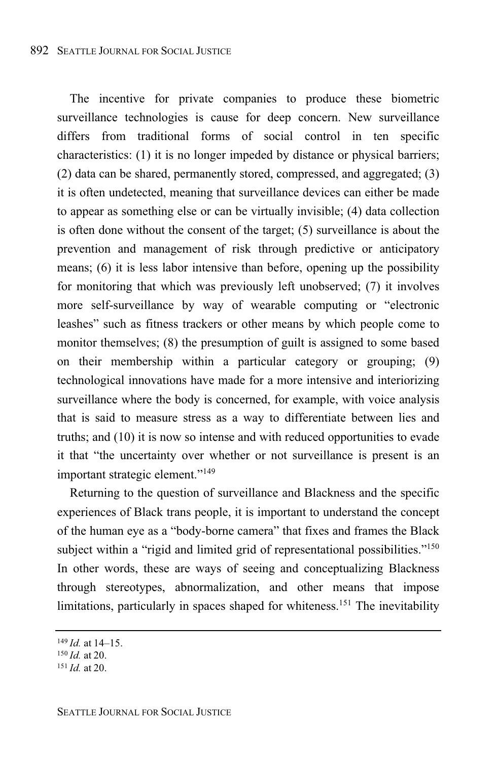The incentive for private companies to produce these biometric surveillance technologies is cause for deep concern. New surveillance differs from traditional forms of social control in ten specific characteristics: (1) it is no longer impeded by distance or physical barriers; (2) data can be shared, permanently stored, compressed, and aggregated; (3) it is often undetected, meaning that surveillance devices can either be made to appear as something else or can be virtually invisible; (4) data collection is often done without the consent of the target; (5) surveillance is about the prevention and management of risk through predictive or anticipatory means; (6) it is less labor intensive than before, opening up the possibility for monitoring that which was previously left unobserved; (7) it involves more self-surveillance by way of wearable computing or "electronic leashes" such as fitness trackers or other means by which people come to monitor themselves; (8) the presumption of guilt is assigned to some based on their membership within a particular category or grouping; (9) technological innovations have made for a more intensive and interiorizing surveillance where the body is concerned, for example, with voice analysis that is said to measure stress as a way to differentiate between lies and truths; and (10) it is now so intense and with reduced opportunities to evade it that "the uncertainty over whether or not surveillance is present is an important strategic element."<sup>149</sup>

Returning to the question of surveillance and Blackness and the specific experiences of Black trans people, it is important to understand the concept of the human eye as a "body-borne camera" that fixes and frames the Black subject within a "rigid and limited grid of representational possibilities."<sup>150</sup> In other words, these are ways of seeing and conceptualizing Blackness through stereotypes, abnormalization, and other means that impose limitations, particularly in spaces shaped for whiteness.<sup>151</sup> The inevitability

<sup>149</sup> *Id.* at 14–15.

<sup>150</sup> *Id.* at 20.

<sup>151</sup> *Id.* at 20.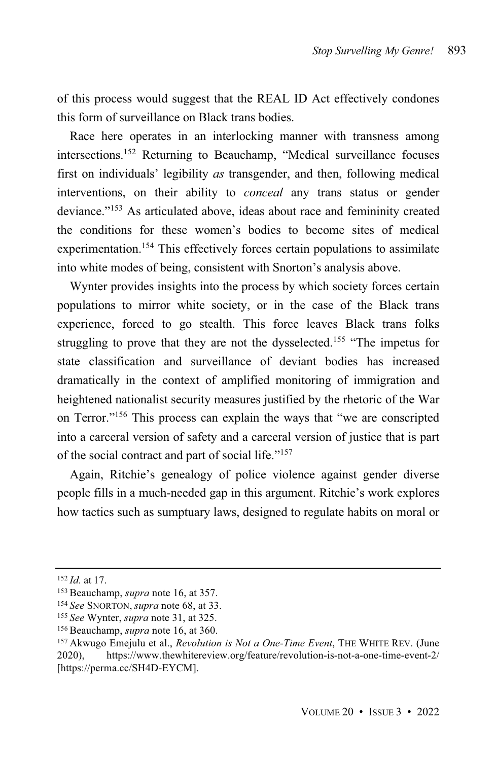of this process would suggest that the REAL ID Act effectively condones this form of surveillance on Black trans bodies.

Race here operates in an interlocking manner with transness among intersections.<sup>152</sup> Returning to Beauchamp, "Medical surveillance focuses first on individuals' legibility *as* transgender, and then, following medical interventions, on their ability to *conceal* any trans status or gender deviance."<sup>153</sup> As articulated above, ideas about race and femininity created the conditions for these women's bodies to become sites of medical experimentation.<sup>154</sup> This effectively forces certain populations to assimilate into white modes of being, consistent with Snorton's analysis above.

Wynter provides insights into the process by which society forces certain populations to mirror white society, or in the case of the Black trans experience, forced to go stealth. This force leaves Black trans folks struggling to prove that they are not the dysselected.<sup>155</sup> "The impetus for state classification and surveillance of deviant bodies has increased dramatically in the context of amplified monitoring of immigration and heightened nationalist security measures justified by the rhetoric of the War on Terror."<sup>156</sup> This process can explain the ways that "we are conscripted into a carceral version of safety and a carceral version of justice that is part of the social contract and part of social life."<sup>157</sup>

Again, Ritchie's genealogy of police violence against gender diverse people fills in a much-needed gap in this argument. Ritchie's work explores how tactics such as sumptuary laws, designed to regulate habits on moral or

<sup>152</sup> *Id.* at 17.

<sup>153</sup> Beauchamp, *supra* note 16, at 357.

<sup>154</sup> *See* SNORTON, *supra* note 68, at 33.

<sup>155</sup> *See* Wynter, *supra* note 31, at 325.

<sup>156</sup> Beauchamp, *supra* note 16, at 360.

<sup>157</sup> Akwugo Emejulu et al., *Revolution is Not a One-Time Event*, THE WHITE REV. (June 2020), https://www.thewhitereview.org/feature/revolution-is-not-a-one-time-event-2/ [https://perma.cc/SH4D-EYCM].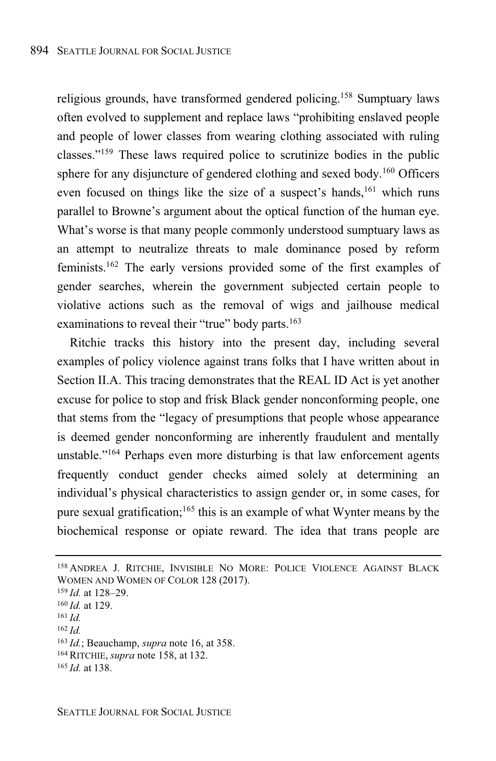religious grounds, have transformed gendered policing.<sup>158</sup> Sumptuary laws often evolved to supplement and replace laws "prohibiting enslaved people and people of lower classes from wearing clothing associated with ruling classes."<sup>159</sup> These laws required police to scrutinize bodies in the public sphere for any disjuncture of gendered clothing and sexed body.<sup>160</sup> Officers even focused on things like the size of a suspect's hands,<sup>161</sup> which runs parallel to Browne's argument about the optical function of the human eye. What's worse is that many people commonly understood sumptuary laws as an attempt to neutralize threats to male dominance posed by reform feminists.<sup>162</sup> The early versions provided some of the first examples of gender searches, wherein the government subjected certain people to violative actions such as the removal of wigs and jailhouse medical examinations to reveal their "true" body parts.<sup>163</sup>

Ritchie tracks this history into the present day, including several examples of policy violence against trans folks that I have written about in Section II.A. This tracing demonstrates that the REAL ID Act is yet another excuse for police to stop and frisk Black gender nonconforming people, one that stems from the "legacy of presumptions that people whose appearance is deemed gender nonconforming are inherently fraudulent and mentally unstable." <sup>164</sup> Perhaps even more disturbing is that law enforcement agents frequently conduct gender checks aimed solely at determining an individual's physical characteristics to assign gender or, in some cases, for pure sexual gratification;<sup>165</sup> this is an example of what Wynter means by the biochemical response or opiate reward. The idea that trans people are

<sup>162</sup> *Id.*

<sup>158</sup> ANDREA J. RITCHIE, INVISIBLE NO MORE: POLICE VIOLENCE AGAINST BLACK WOMEN AND WOMEN OF COLOR 128 (2017).

<sup>159</sup> *Id.* at 128–29.

<sup>160</sup> *Id.* at 129.

<sup>161</sup> *Id.*

<sup>163</sup> *Id.*; Beauchamp, *supra* note 16, at 358.

<sup>164</sup> RITCHIE, *supra* note 158, at 132.

<sup>165</sup> *Id.* at 138.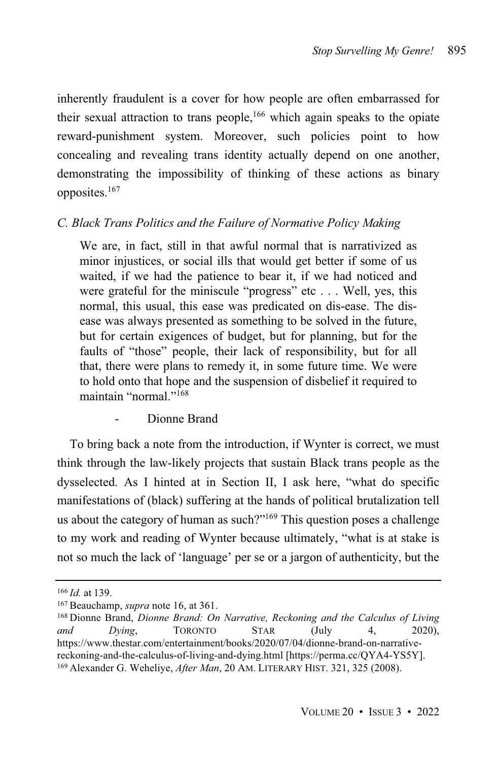inherently fraudulent is a cover for how people are often embarrassed for their sexual attraction to trans people, <sup>166</sup> which again speaks to the opiate reward-punishment system. Moreover, such policies point to how concealing and revealing trans identity actually depend on one another, demonstrating the impossibility of thinking of these actions as binary opposites.<sup>167</sup>

# *C. Black Trans Politics and the Failure of Normative Policy Making*

We are, in fact, still in that awful normal that is narrativized as minor injustices, or social ills that would get better if some of us waited, if we had the patience to bear it, if we had noticed and were grateful for the miniscule "progress" etc . . . Well, yes, this normal, this usual, this ease was predicated on dis-ease. The disease was always presented as something to be solved in the future, but for certain exigences of budget, but for planning, but for the faults of "those" people, their lack of responsibility, but for all that, there were plans to remedy it, in some future time. We were to hold onto that hope and the suspension of disbelief it required to maintain "normal."<sup>168</sup>

# Dionne Brand

To bring back a note from the introduction, if Wynter is correct, we must think through the law-likely projects that sustain Black trans people as the dysselected. As I hinted at in Section II, I ask here, "what do specific manifestations of (black) suffering at the hands of political brutalization tell us about the category of human as such?"<sup>169</sup> This question poses a challenge to my work and reading of Wynter because ultimately, "what is at stake is not so much the lack of 'language' per se or a jargon of authenticity, but the

<sup>166</sup> *Id.* at 139.

<sup>167</sup> Beauchamp, *supra* note 16, at 361.

<sup>168</sup> Dionne Brand, *Dionne Brand: On Narrative, Reckoning and the Calculus of Living and Dying*, TORONTO STAR (July 4, 2020), https://www.thestar.com/entertainment/books/2020/07/04/dionne-brand-on-narrativereckoning-and-the-calculus-of-living-and-dying.html [https://perma.cc/QYA4-YS5Y]. <sup>169</sup> Alexander G. Weheliye, *After Man*, 20 AM. LITERARY HIST. 321, 325 (2008).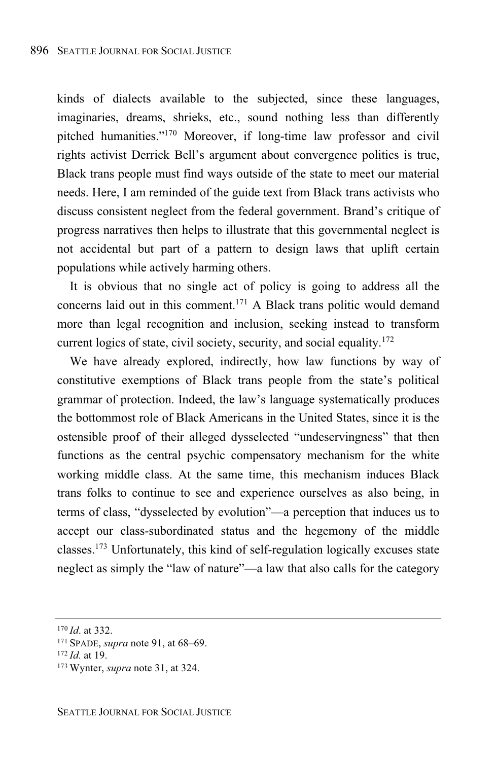kinds of dialects available to the subjected, since these languages, imaginaries, dreams, shrieks, etc., sound nothing less than differently pitched humanities."<sup>170</sup> Moreover, if long-time law professor and civil rights activist Derrick Bell's argument about convergence politics is true, Black trans people must find ways outside of the state to meet our material needs. Here, I am reminded of the guide text from Black trans activists who discuss consistent neglect from the federal government. Brand's critique of progress narratives then helps to illustrate that this governmental neglect is not accidental but part of a pattern to design laws that uplift certain populations while actively harming others.

It is obvious that no single act of policy is going to address all the concerns laid out in this comment. <sup>171</sup> A Black trans politic would demand more than legal recognition and inclusion, seeking instead to transform current logics of state, civil society, security, and social equality. 172

We have already explored, indirectly, how law functions by way of constitutive exemptions of Black trans people from the state's political grammar of protection. Indeed, the law's language systematically produces the bottommost role of Black Americans in the United States, since it is the ostensible proof of their alleged dysselected "undeservingness" that then functions as the central psychic compensatory mechanism for the white working middle class. At the same time, this mechanism induces Black trans folks to continue to see and experience ourselves as also being, in terms of class, "dysselected by evolution"—a perception that induces us to accept our class-subordinated status and the hegemony of the middle classes.<sup>173</sup> Unfortunately, this kind of self-regulation logically excuses state neglect as simply the "law of nature"—a law that also calls for the category

<sup>170</sup> *Id*. at 332.

<sup>171</sup> SPADE, *supra* note 91, at 68–69.

<sup>172</sup> *Id.* at 19.

<sup>173</sup> Wynter, *supra* note 31, at 324.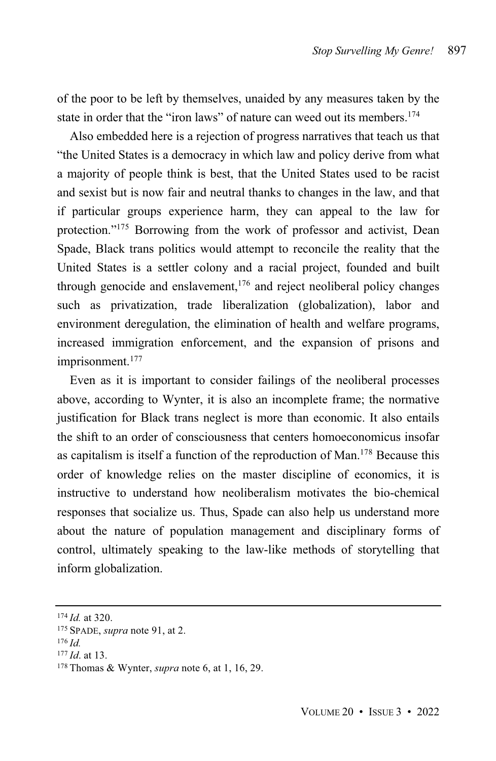of the poor to be left by themselves, unaided by any measures taken by the state in order that the "iron laws" of nature can weed out its members. 174

Also embedded here is a rejection of progress narratives that teach us that "the United States is a democracy in which law and policy derive from what a majority of people think is best, that the United States used to be racist and sexist but is now fair and neutral thanks to changes in the law, and that if particular groups experience harm, they can appeal to the law for protection." <sup>175</sup> Borrowing from the work of professor and activist, Dean Spade, Black trans politics would attempt to reconcile the reality that the United States is a settler colony and a racial project, founded and built through genocide and enslavement, $176$  and reject neoliberal policy changes such as privatization, trade liberalization (globalization), labor and environment deregulation, the elimination of health and welfare programs, increased immigration enforcement, and the expansion of prisons and imprisonment. 177

Even as it is important to consider failings of the neoliberal processes above, according to Wynter, it is also an incomplete frame; the normative justification for Black trans neglect is more than economic. It also entails the shift to an order of consciousness that centers homoeconomicus insofar as capitalism is itself a function of the reproduction of Man.<sup>178</sup> Because this order of knowledge relies on the master discipline of economics, it is instructive to understand how neoliberalism motivates the bio-chemical responses that socialize us. Thus, Spade can also help us understand more about the nature of population management and disciplinary forms of control, ultimately speaking to the law-like methods of storytelling that inform globalization.

<sup>174</sup> *Id.* at 320.

<sup>175</sup> SPADE, *supra* note 91, at 2.

<sup>176</sup> *Id.*

<sup>177</sup> *Id*. at 13.

<sup>178</sup> Thomas & Wynter, *supra* note 6, at 1, 16, 29.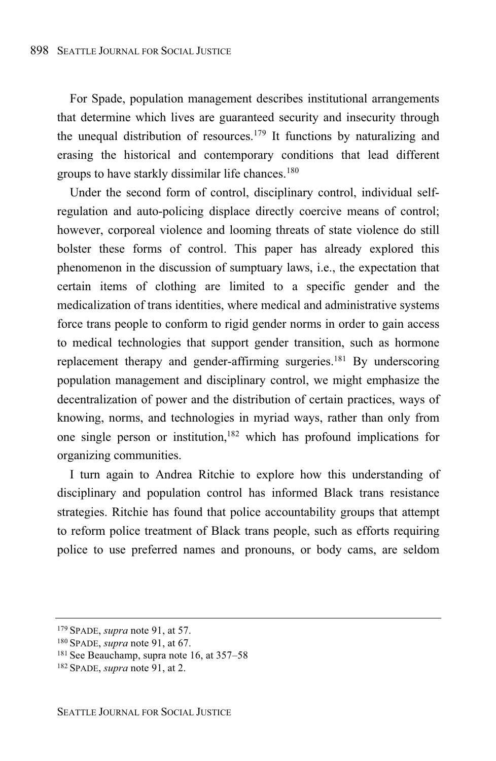For Spade, population management describes institutional arrangements that determine which lives are guaranteed security and insecurity through the unequal distribution of resources.<sup>179</sup> It functions by naturalizing and erasing the historical and contemporary conditions that lead different groups to have starkly dissimilar life chances. 180

Under the second form of control, disciplinary control, individual selfregulation and auto-policing displace directly coercive means of control; however, corporeal violence and looming threats of state violence do still bolster these forms of control. This paper has already explored this phenomenon in the discussion of sumptuary laws, i.e., the expectation that certain items of clothing are limited to a specific gender and the medicalization of trans identities, where medical and administrative systems force trans people to conform to rigid gender norms in order to gain access to medical technologies that support gender transition, such as hormone replacement therapy and gender-affirming surgeries.<sup>181</sup> By underscoring population management and disciplinary control, we might emphasize the decentralization of power and the distribution of certain practices, ways of knowing, norms, and technologies in myriad ways, rather than only from one single person or institution, <sup>182</sup> which has profound implications for organizing communities.

I turn again to Andrea Ritchie to explore how this understanding of disciplinary and population control has informed Black trans resistance strategies. Ritchie has found that police accountability groups that attempt to reform police treatment of Black trans people, such as efforts requiring police to use preferred names and pronouns, or body cams, are seldom

<sup>179</sup> SPADE, *supra* note 91, at 57.

<sup>180</sup> SPADE, *supra* note 91, at 67.

<sup>181</sup> See Beauchamp, supra note 16, at 357–58

<sup>182</sup> SPADE, *supra* note 91, at 2.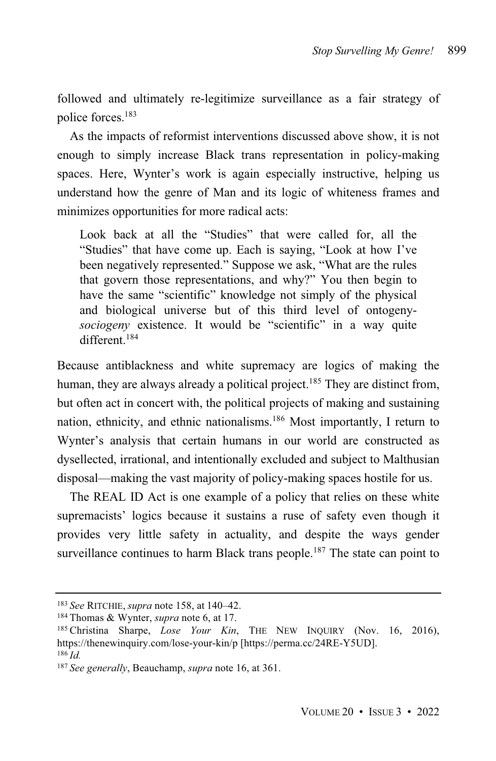followed and ultimately re-legitimize surveillance as a fair strategy of police forces.<sup>183</sup>

As the impacts of reformist interventions discussed above show, it is not enough to simply increase Black trans representation in policy-making spaces. Here, Wynter's work is again especially instructive, helping us understand how the genre of Man and its logic of whiteness frames and minimizes opportunities for more radical acts:

Look back at all the "Studies" that were called for, all the "Studies" that have come up. Each is saying, "Look at how I've been negatively represented." Suppose we ask, "What are the rules that govern those representations, and why?" You then begin to have the same "scientific" knowledge not simply of the physical and biological universe but of this third level of ontogeny*sociogeny* existence. It would be "scientific" in a way quite different<sup>184</sup>

Because antiblackness and white supremacy are logics of making the human, they are always already a political project.<sup>185</sup> They are distinct from, but often act in concert with, the political projects of making and sustaining nation, ethnicity, and ethnic nationalisms.<sup>186</sup> Most importantly, I return to Wynter's analysis that certain humans in our world are constructed as dysellected, irrational, and intentionally excluded and subject to Malthusian disposal—making the vast majority of policy-making spaces hostile for us.

The REAL ID Act is one example of a policy that relies on these white supremacists' logics because it sustains a ruse of safety even though it provides very little safety in actuality, and despite the ways gender surveillance continues to harm Black trans people.<sup>187</sup> The state can point to

<sup>183</sup> *See* RITCHIE, *supra* note 158, at 140–42.

<sup>184</sup> Thomas & Wynter, *supra* note 6, at 17.

<sup>185</sup> Christina Sharpe, *Lose Your Kin*, THE NEW INQUIRY (Nov. 16, 2016), https://thenewinquiry.com/lose-your-kin/p [https://perma.cc/24RE-Y5UD]. <sup>186</sup> *Id.*

<sup>187</sup> *See generally*, Beauchamp, *supra* note 16, at 361.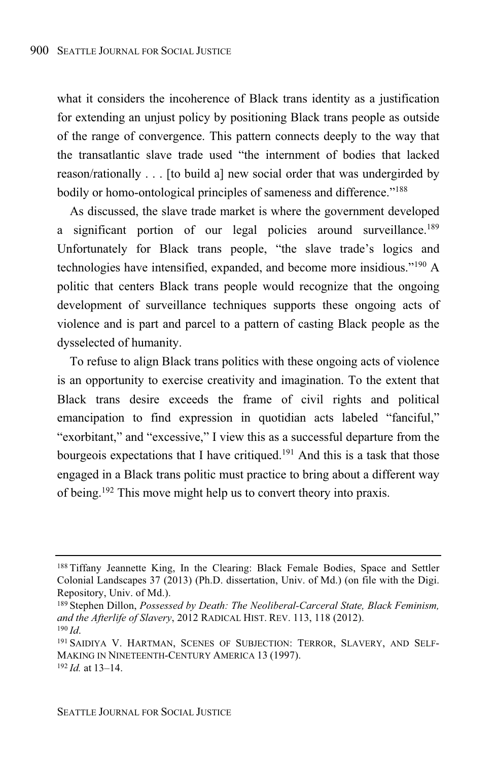what it considers the incoherence of Black trans identity as a justification for extending an unjust policy by positioning Black trans people as outside of the range of convergence. This pattern connects deeply to the way that the transatlantic slave trade used "the internment of bodies that lacked reason/rationally . . . [to build a] new social order that was undergirded by bodily or homo-ontological principles of sameness and difference."<sup>188</sup>

As discussed, the slave trade market is where the government developed a significant portion of our legal policies around surveillance.<sup>189</sup> Unfortunately for Black trans people, "the slave trade's logics and technologies have intensified, expanded, and become more insidious." <sup>190</sup> A politic that centers Black trans people would recognize that the ongoing development of surveillance techniques supports these ongoing acts of violence and is part and parcel to a pattern of casting Black people as the dysselected of humanity.

To refuse to align Black trans politics with these ongoing acts of violence is an opportunity to exercise creativity and imagination. To the extent that Black trans desire exceeds the frame of civil rights and political emancipation to find expression in quotidian acts labeled "fanciful," "exorbitant," and "excessive," I view this as a successful departure from the bourgeois expectations that I have critiqued.<sup>191</sup> And this is a task that those engaged in a Black trans politic must practice to bring about a different way of being.<sup>192</sup> This move might help us to convert theory into praxis.

<sup>188</sup> Tiffany Jeannette King, In the Clearing: Black Female Bodies, Space and Settler Colonial Landscapes 37 (2013) (Ph.D. dissertation, Univ. of Md.) (on file with the Digi. Repository, Univ. of Md.).

<sup>189</sup> Stephen Dillon, *Possessed by Death: The Neoliberal-Carceral State, Black Feminism, and the Afterlife of Slavery*, 2012 RADICAL HIST. REV. 113, 118 (2012).  $190$  *Id.* 

<sup>191</sup> SAIDIYA V. HARTMAN, SCENES OF SUBJECTION: TERROR, SLAVERY, AND SELF-MAKING IN NINETEENTH-CENTURY AMERICA 13 (1997). <sup>192</sup> *Id.* at 13–14.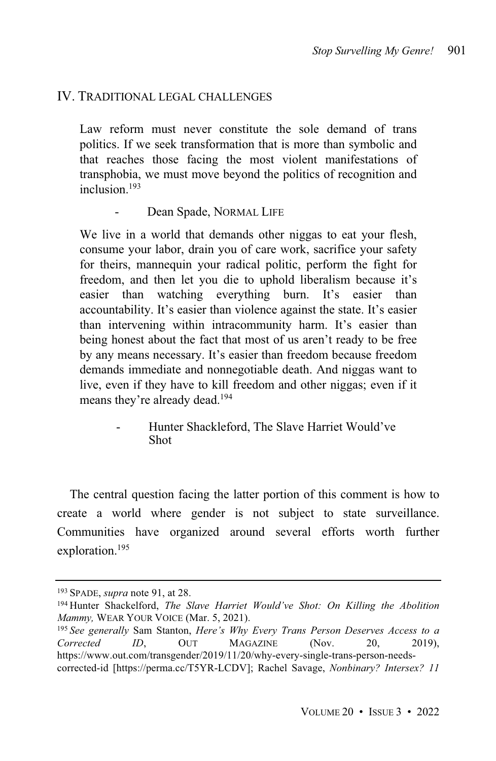### IV. TRADITIONAL LEGAL CHALLENGES

Law reform must never constitute the sole demand of trans politics. If we seek transformation that is more than symbolic and that reaches those facing the most violent manifestations of transphobia, we must move beyond the politics of recognition and inclusion. 193

Dean Spade, NORMAL LIFE

We live in a world that demands other niggas to eat your flesh, consume your labor, drain you of care work, sacrifice your safety for theirs, mannequin your radical politic, perform the fight for freedom, and then let you die to uphold liberalism because it's easier than watching everything burn. It's easier than accountability. It's easier than violence against the state. It's easier than intervening within intracommunity harm. It's easier than being honest about the fact that most of us aren't ready to be free by any means necessary. It's easier than freedom because freedom demands immediate and nonnegotiable death. And niggas want to live, even if they have to kill freedom and other niggas; even if it means they're already dead. 194

> - Hunter Shackleford, The Slave Harriet Would've Shot

The central question facing the latter portion of this comment is how to create a world where gender is not subject to state surveillance. Communities have organized around several efforts worth further exploration. 195

<sup>193</sup> SPADE, *supra* note 91, at 28.

<sup>194</sup> Hunter Shackelford, *The Slave Harriet Would've Shot: On Killing the Abolition Mammy,* WEAR YOUR VOICE (Mar. 5, 2021).

<sup>195</sup> *See generally* Sam Stanton, *Here's Why Every Trans Person Deserves Access to a Corrected ID*, OUT MAGAZINE (Nov. 20, 2019), https://www.out.com/transgender/2019/11/20/why-every-single-trans-person-needscorrected-id [https://perma.cc/T5YR-LCDV]; Rachel Savage, *Nonbinary? Intersex? 11*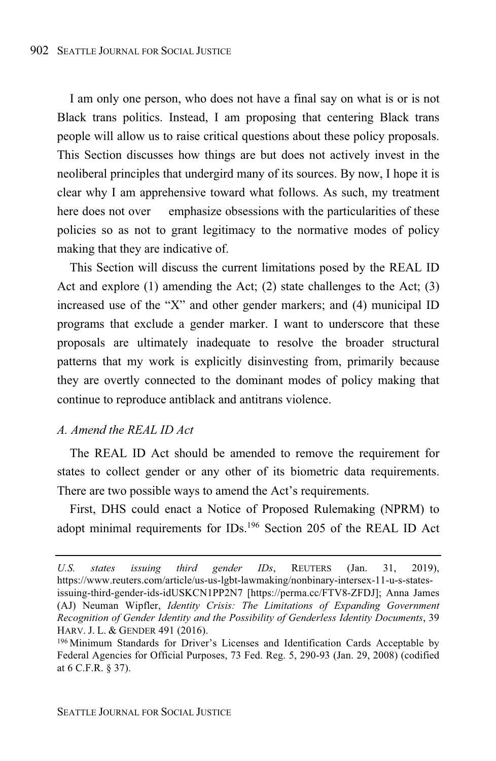I am only one person, who does not have a final say on what is or is not Black trans politics. Instead, I am proposing that centering Black trans people will allow us to raise critical questions about these policy proposals. This Section discusses how things are but does not actively invest in the neoliberal principles that undergird many of its sources. By now, I hope it is clear why I am apprehensive toward what follows. As such, my treatment here does not over emphasize obsessions with the particularities of these policies so as not to grant legitimacy to the normative modes of policy making that they are indicative of.

This Section will discuss the current limitations posed by the REAL ID Act and explore (1) amending the Act; (2) state challenges to the Act; (3) increased use of the "X" and other gender markers; and (4) municipal ID programs that exclude a gender marker. I want to underscore that these proposals are ultimately inadequate to resolve the broader structural patterns that my work is explicitly disinvesting from, primarily because they are overtly connected to the dominant modes of policy making that continue to reproduce antiblack and antitrans violence.

#### *A. Amend the REAL ID Act*

The REAL ID Act should be amended to remove the requirement for states to collect gender or any other of its biometric data requirements. There are two possible ways to amend the Act's requirements.

First, DHS could enact a Notice of Proposed Rulemaking (NPRM) to adopt minimal requirements for IDs.<sup>196</sup> Section 205 of the REAL ID Act

*U.S. states issuing third gender IDs*, REUTERS (Jan. 31, 2019), https://www.reuters.com/article/us-us-lgbt-lawmaking/nonbinary-intersex-11-u-s-statesissuing-third-gender-ids-idUSKCN1PP2N7 [https://perma.cc/FTV8-ZFDJ]; Anna James (AJ) Neuman Wipfler, *Identity Crisis: The Limitations of Expanding Government Recognition of Gender Identity and the Possibility of Genderless Identity Documents*, 39 HARV. J. L. & GENDER 491 (2016).

<sup>196</sup> Minimum Standards for Driver's Licenses and Identification Cards Acceptable by Federal Agencies for Official Purposes, 73 Fed. Reg. 5, 290-93 (Jan. 29, 2008) (codified at 6 C.F.R. § 37).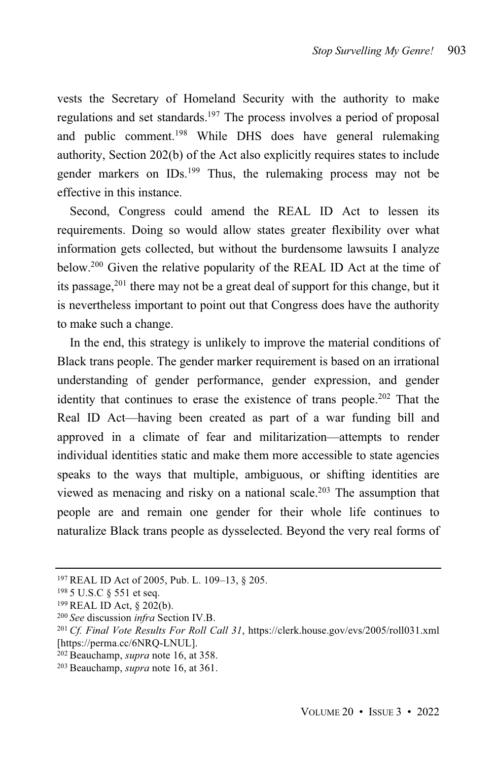vests the Secretary of Homeland Security with the authority to make regulations and set standards.<sup>197</sup> The process involves a period of proposal and public comment. <sup>198</sup> While DHS does have general rulemaking authority, Section 202(b) of the Act also explicitly requires states to include gender markers on IDs.<sup>199</sup> Thus, the rulemaking process may not be effective in this instance.

Second, Congress could amend the REAL ID Act to lessen its requirements. Doing so would allow states greater flexibility over what information gets collected, but without the burdensome lawsuits I analyze below. <sup>200</sup> Given the relative popularity of the REAL ID Act at the time of its passage, $201$  there may not be a great deal of support for this change, but it is nevertheless important to point out that Congress does have the authority to make such a change.

In the end, this strategy is unlikely to improve the material conditions of Black trans people. The gender marker requirement is based on an irrational understanding of gender performance, gender expression, and gender identity that continues to erase the existence of trans people.<sup>202</sup> That the Real ID Act—having been created as part of a war funding bill and approved in a climate of fear and militarization—attempts to render individual identities static and make them more accessible to state agencies speaks to the ways that multiple, ambiguous, or shifting identities are viewed as menacing and risky on a national scale.<sup>203</sup> The assumption that people are and remain one gender for their whole life continues to naturalize Black trans people as dysselected. Beyond the very real forms of

<sup>197</sup> REAL ID Act of 2005, Pub. L. 109–13, § 205.

<sup>198</sup> 5 U.S.C § 551 et seq.

<sup>199</sup> REAL ID Act, § 202(b).

<sup>200</sup> *See* discussion *infra* Section IV.B.

<sup>201</sup> *Cf. Final Vote Results For Roll Call 31*, https://clerk.house.gov/evs/2005/roll031.xml [https://perma.cc/6NRQ-LNUL].

<sup>202</sup> Beauchamp, *supra* note 16, at 358.

<sup>203</sup> Beauchamp, *supra* note 16, at 361.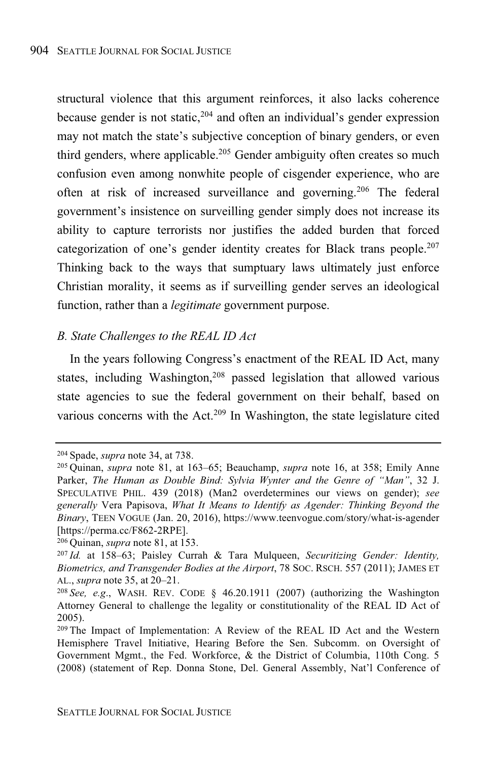structural violence that this argument reinforces, it also lacks coherence because gender is not static, $204$  and often an individual's gender expression may not match the state's subjective conception of binary genders, or even third genders, where applicable.<sup>205</sup> Gender ambiguity often creates so much confusion even among nonwhite people of cisgender experience, who are often at risk of increased surveillance and governing.<sup>206</sup> The federal government's insistence on surveilling gender simply does not increase its ability to capture terrorists nor justifies the added burden that forced categorization of one's gender identity creates for Black trans people.<sup>207</sup> Thinking back to the ways that sumptuary laws ultimately just enforce Christian morality, it seems as if surveilling gender serves an ideological function, rather than a *legitimate* government purpose.

#### *B. State Challenges to the REAL ID Act*

In the years following Congress's enactment of the REAL ID Act, many states, including Washington,<sup>208</sup> passed legislation that allowed various state agencies to sue the federal government on their behalf, based on various concerns with the Act.<sup>209</sup> In Washington, the state legislature cited

<sup>204</sup> Spade, *supra* note 34, at 738.

<sup>205</sup> Quinan, *supra* note 81, at 163–65; Beauchamp, *supra* note 16, at 358; Emily Anne Parker, *The Human as Double Bind: Sylvia Wynter and the Genre of "Man"*, 32 J. SPECULATIVE PHIL. 439 (2018) (Man2 overdetermines our views on gender); *see generally* Vera Papisova, *What It Means to Identify as Agender: Thinking Beyond the Binary*, TEEN VOGUE (Jan. 20, 2016), https://www.teenvogue.com/story/what-is-agender [https://perma.cc/F862-2RPE].

<sup>206</sup> Quinan, *supra* note 81, at 153.

<sup>207</sup> *Id.* at 158–63; Paisley Currah & Tara Mulqueen, *Securitizing Gender: Identity, Biometrics, and Transgender Bodies at the Airport*, 78 SOC. RSCH. 557 (2011); JAMES ET AL., *supra* note 35, at 20–21.

<sup>&</sup>lt;sup>208</sup> *See, e.g.*, WASH. REV. CODE  $\S$  46.20.1911 (2007) (authorizing the Washington Attorney General to challenge the legality or constitutionality of the REAL ID Act of 2005).

<sup>209</sup> The Impact of Implementation: A Review of the REAL ID Act and the Western Hemisphere Travel Initiative, Hearing Before the Sen. Subcomm. on Oversight of Government Mgmt., the Fed. Workforce, & the District of Columbia, 110th Cong. 5 (2008) (statement of Rep. Donna Stone, Del. General Assembly, Nat'l Conference of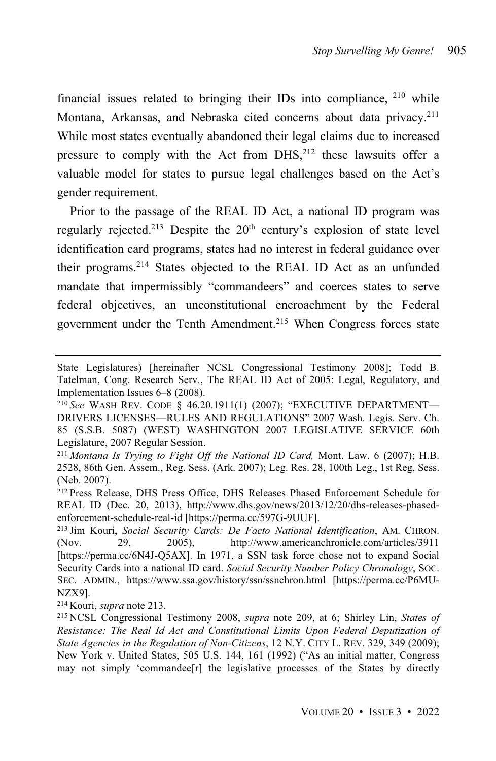financial issues related to bringing their IDs into compliance, <sup>210</sup> while Montana, Arkansas, and Nebraska cited concerns about data privacy.<sup>211</sup> While most states eventually abandoned their legal claims due to increased pressure to comply with the Act from DHS,<sup>212</sup> these lawsuits offer a valuable model for states to pursue legal challenges based on the Act's gender requirement.

Prior to the passage of the REAL ID Act, a national ID program was regularly rejected.<sup>213</sup> Despite the  $20<sup>th</sup>$  century's explosion of state level identification card programs, states had no interest in federal guidance over their programs.<sup>214</sup> States objected to the REAL ID Act as an unfunded mandate that impermissibly "commandeers" and coerces states to serve federal objectives, an unconstitutional encroachment by the Federal government under the Tenth Amendment. <sup>215</sup> When Congress forces state

<sup>214</sup> Kouri, *supra* note 213.

State Legislatures) [hereinafter NCSL Congressional Testimony 2008]; Todd B. Tatelman, Cong. Research Serv., The REAL ID Act of 2005: Legal, Regulatory, and Implementation Issues 6–8 (2008).

<sup>210</sup> *See* WASH REV. CODE § 46.20.1911(1) (2007); "EXECUTIVE DEPARTMENT— DRIVERS LICENSES—RULES AND REGULATIONS" 2007 Wash. Legis. Serv. Ch. 85 (S.S.B. 5087) (WEST) WASHINGTON 2007 LEGISLATIVE SERVICE 60th Legislature, 2007 Regular Session.

<sup>211</sup> *Montana Is Trying to Fight Off the National ID Card,* Mont. Law. 6 (2007); H.B. 2528, 86th Gen. Assem., Reg. Sess. (Ark. 2007); Leg. Res. 28, 100th Leg., 1st Reg. Sess. (Neb. 2007).

<sup>212</sup> Press Release, DHS Press Office, DHS Releases Phased Enforcement Schedule for REAL ID (Dec. 20, 2013), http://www.dhs.gov/news/2013/12/20/dhs-releases-phasedenforcement-schedule-real-id [https://perma.cc/597G-9UUF].

<sup>213</sup> Jim Kouri, *Social Security Cards: De Facto National Identification*, AM. CHRON. (Nov. 29, 2005), http://www.americanchronicle.com/articles/3911 [https://perma.cc/6N4J-Q5AX]. In 1971, a SSN task force chose not to expand Social Security Cards into a national ID card. *Social Security Number Policy Chronology*, SOC. SEC. ADMIN., https://www.ssa.gov/history/ssn/ssnchron.html [https://perma.cc/P6MU-NZX9].

<sup>215</sup> NCSL Congressional Testimony 2008, *supra* note 209, at 6; Shirley Lin, *States of Resistance: The Real Id Act and Constitutional Limits Upon Federal Deputization of State Agencies in the Regulation of Non-Citizens*, 12 N.Y. CITY L. REV. 329, 349 (2009); New York v. United States, 505 U.S. 144, 161 (1992) ("As an initial matter, Congress may not simply 'commandee[r] the legislative processes of the States by directly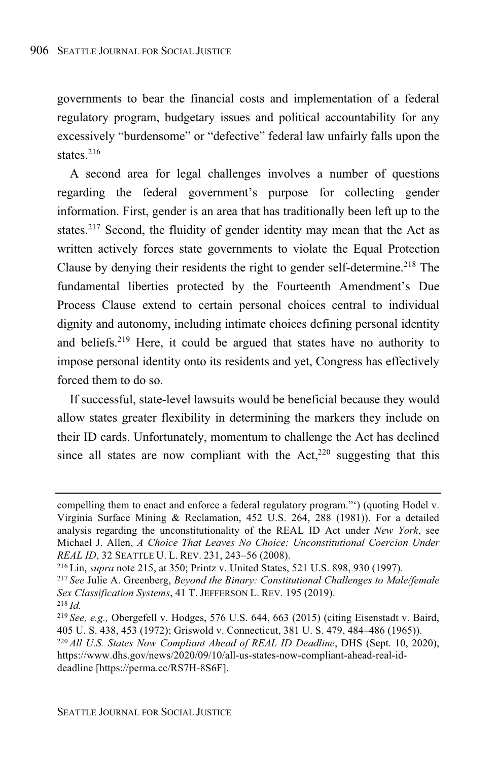governments to bear the financial costs and implementation of a federal regulatory program, budgetary issues and political accountability for any excessively "burdensome" or "defective" federal law unfairly falls upon the states. 216

A second area for legal challenges involves a number of questions regarding the federal government's purpose for collecting gender information. First, gender is an area that has traditionally been left up to the states.<sup>217</sup> Second, the fluidity of gender identity may mean that the Act as written actively forces state governments to violate the Equal Protection Clause by denying their residents the right to gender self-determine.<sup>218</sup> The fundamental liberties protected by the Fourteenth Amendment's Due Process Clause extend to certain personal choices central to individual dignity and autonomy, including intimate choices defining personal identity and beliefs.<sup>219</sup> Here, it could be argued that states have no authority to impose personal identity onto its residents and yet, Congress has effectively forced them to do so.

If successful, state-level lawsuits would be beneficial because they would allow states greater flexibility in determining the markers they include on their ID cards. Unfortunately, momentum to challenge the Act has declined since all states are now compliant with the  $Act<sub>1</sub><sup>220</sup>$  suggesting that this

compelling them to enact and enforce a federal regulatory program."') (quoting Hodel v. Virginia Surface Mining & Reclamation, 452 U.S. 264, 288 (1981)). For a detailed analysis regarding the unconstitutionality of the REAL ID Act under *New York*, see Michael J. Allen, *A Choice That Leaves No Choice: Unconstitutional Coercion Under REAL ID*, 32 SEATTLE U. L. REV. 231, 243–56 (2008).

<sup>216</sup> Lin, *supra* note 215, at 350; Printz v. United States, 521 U.S. 898, 930 (1997).

<sup>217</sup> *See* Julie A. Greenberg, *Beyond the Binary: Constitutional Challenges to Male/female Sex Classification Systems*, 41 T. JEFFERSON L. REV. 195 (2019).

<sup>218</sup> *Id.*

<sup>219</sup> *See, e.g.,* Obergefell v. Hodges, 576 U.S. 644, 663 (2015) (citing Eisenstadt v. Baird, 405 U. S. 438, 453 (1972); Griswold v. Connecticut, 381 U. S. 479, 484–486 (1965)).

<sup>220</sup> *All U.S. States Now Compliant Ahead of REAL ID Deadline*, DHS (Sept. 10, 2020), https://www.dhs.gov/news/2020/09/10/all-us-states-now-compliant-ahead-real-iddeadline [https://perma.cc/RS7H-8S6F].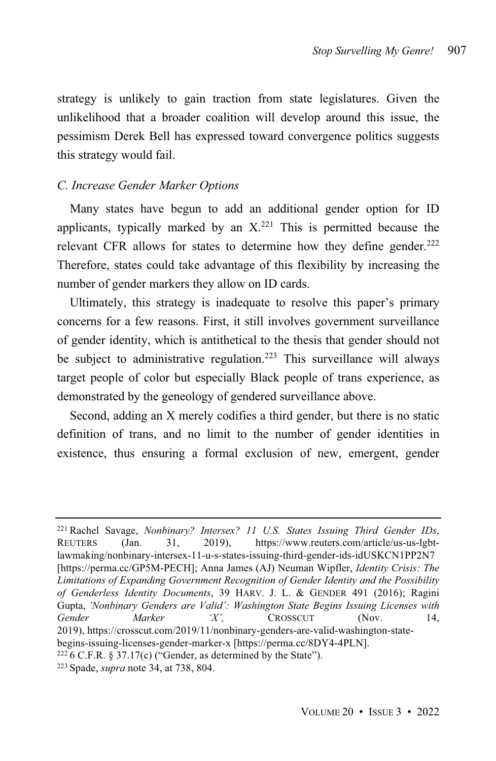strategy is unlikely to gain traction from state legislatures. Given the unlikelihood that a broader coalition will develop around this issue, the pessimism Derek Bell has expressed toward convergence politics suggests this strategy would fail.

#### *C. Increase Gender Marker Options*

Many states have begun to add an additional gender option for ID applicants, typically marked by an  $X<sup>221</sup>$  This is permitted because the relevant CFR allows for states to determine how they define gender. $222$ Therefore, states could take advantage of this flexibility by increasing the number of gender markers they allow on ID cards.

Ultimately, this strategy is inadequate to resolve this paper's primary concerns for a few reasons. First, it still involves government surveillance of gender identity, which is antithetical to the thesis that gender should not be subject to administrative regulation.<sup>223</sup> This surveillance will always target people of color but especially Black people of trans experience, as demonstrated by the geneology of gendered surveillance above.

Second, adding an X merely codifies a third gender, but there is no static definition of trans, and no limit to the number of gender identities in existence, thus ensuring a formal exclusion of new, emergent, gender

<sup>221</sup> Rachel Savage, *Nonbinary? Intersex? 11 U.S. States Issuing Third Gender IDs*, REUTERS (Jan. 31, 2019), https://www.reuters.com/article/us-us-lgbtlawmaking/nonbinary-intersex-11-u-s-states-issuing-third-gender-ids-idUSKCN1PP2N7 [https://perma.cc/GP5M-PECH]; Anna James (AJ) Neuman Wipfler, *Identity Crisis: The Limitations of Expanding Government Recognition of Gender Identity and the Possibility of Genderless Identity Documents*, 39 HARV. J. L. & GENDER 491 (2016); Ragini Gupta, *'Nonbinary Genders are Valid': Washington State Begins Issuing Licenses with Gender Marker 'X',* CROSSCUT (Nov. 14, 2019), https://crosscut.com/2019/11/nonbinary-genders-are-valid-washington-statebegins-issuing-licenses-gender-marker-x [https://perma.cc/8DY4-4PLN].

 $2226$  C.F.R. § 37.17(c) ("Gender, as determined by the State").

<sup>223</sup> Spade, *supra* note 34, at 738, 804.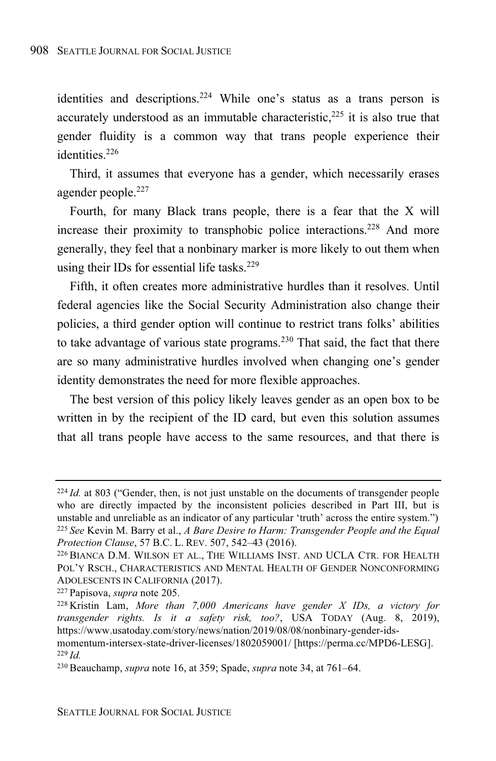identities and descriptions.<sup>224</sup> While one's status as a trans person is accurately understood as an immutable characteristic, $225$  it is also true that gender fluidity is a common way that trans people experience their identities.<sup>226</sup>

Third, it assumes that everyone has a gender, which necessarily erases agender people.<sup>227</sup>

Fourth, for many Black trans people, there is a fear that the X will increase their proximity to transphobic police interactions.<sup>228</sup> And more generally, they feel that a nonbinary marker is more likely to out them when using their IDs for essential life tasks.<sup>229</sup>

Fifth, it often creates more administrative hurdles than it resolves. Until federal agencies like the Social Security Administration also change their policies, a third gender option will continue to restrict trans folks' abilities to take advantage of various state programs.<sup>230</sup> That said, the fact that there are so many administrative hurdles involved when changing one's gender identity demonstrates the need for more flexible approaches.

The best version of this policy likely leaves gender as an open box to be written in by the recipient of the ID card, but even this solution assumes that all trans people have access to the same resources, and that there is

<sup>&</sup>lt;sup>224</sup> *Id.* at 803 ("Gender, then, is not just unstable on the documents of transgender people who are directly impacted by the inconsistent policies described in Part III, but is unstable and unreliable as an indicator of any particular 'truth' across the entire system.") <sup>225</sup> *See* Kevin M. Barry et al., *A Bare Desire to Harm: Transgender People and the Equal Protection Clause*, 57 B.C. L. REV. 507, 542–43 (2016).

<sup>226</sup> BIANCA D.M. WILSON ET AL., THE WILLIAMS INST. AND UCLA CTR. FOR HEALTH POL'Y RSCH., CHARACTERISTICS AND MENTAL HEALTH OF GENDER NONCONFORMING ADOLESCENTS IN CALIFORNIA (2017).

<sup>227</sup> Papisova, *supra* note 205.

<sup>228</sup> Kristin Lam, *More than 7,000 Americans have gender X IDs, a victory for transgender rights. Is it a safety risk, too?*, USA TODAY (Aug. 8, 2019), https://www.usatoday.com/story/news/nation/2019/08/08/nonbinary-gender-ids-

momentum-intersex-state-driver-licenses/1802059001/ [https://perma.cc/MPD6-LESG]. <sup>229</sup> *Id.*

<sup>230</sup> Beauchamp, *supra* note 16, at 359; Spade, *supra* note 34, at 761–64.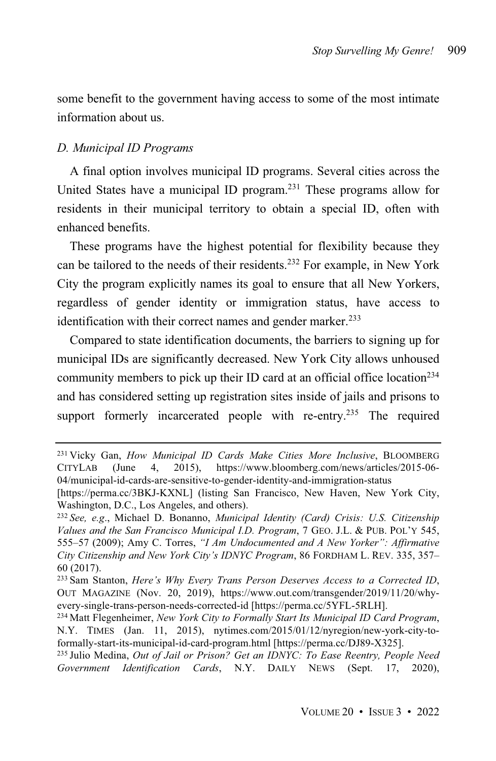some benefit to the government having access to some of the most intimate information about us.

#### *D. Municipal ID Programs*

A final option involves municipal ID programs. Several cities across the United States have a municipal ID program. <sup>231</sup> These programs allow for residents in their municipal territory to obtain a special ID, often with enhanced benefits.

These programs have the highest potential for flexibility because they can be tailored to the needs of their residents.<sup>232</sup> For example, in New York City the program explicitly names its goal to ensure that all New Yorkers, regardless of gender identity or immigration status, have access to identification with their correct names and gender marker.<sup>233</sup>

Compared to state identification documents, the barriers to signing up for municipal IDs are significantly decreased. New York City allows unhoused community members to pick up their ID card at an official office location<sup>234</sup> and has considered setting up registration sites inside of jails and prisons to support formerly incarcerated people with re-entry.<sup>235</sup> The required

<sup>231</sup> Vicky Gan, *How Municipal ID Cards Make Cities More Inclusive*, BLOOMBERG CITYLAB (June 4, 2015), https://www.bloomberg.com/news/articles/2015-06- 04/municipal-id-cards-are-sensitive-to-gender-identity-and-immigration-status

<sup>[</sup>https://perma.cc/3BKJ-KXNL] (listing San Francisco, New Haven, New York City, Washington, D.C., Los Angeles, and others).

<sup>232</sup> *See, e.g*., Michael D. Bonanno, *Municipal Identity (Card) Crisis: U.S. Citizenship Values and the San Francisco Municipal I.D. Program*, 7 GEO. J.L. & PUB. POL'Y 545, 555–57 (2009); Amy C. Torres, *"I Am Undocumented and A New Yorker": Affirmative City Citizenship and New York City's IDNYC Program*, 86 FORDHAM L. REV. 335, 357– 60 (2017).

<sup>233</sup> Sam Stanton, *Here's Why Every Trans Person Deserves Access to a Corrected ID*, OUT MAGAZINE (Nov. 20, 2019), https://www.out.com/transgender/2019/11/20/whyevery-single-trans-person-needs-corrected-id [https://perma.cc/5YFL-5RLH].

<sup>234</sup> Matt Flegenheimer, *New York City to Formally Start Its Municipal ID Card Program*, N.Y. TIMES (Jan. 11, 2015), nytimes.com/2015/01/12/nyregion/new-york-city-toformally-start-its-municipal-id-card-program.html [https://perma.cc/DJ89-X325].

<sup>235</sup> Julio Medina, *Out of Jail or Prison? Get an IDNYC: To Ease Reentry, People Need Government Identification Cards*, N.Y. DAILY NEWS (Sept. 17, 2020),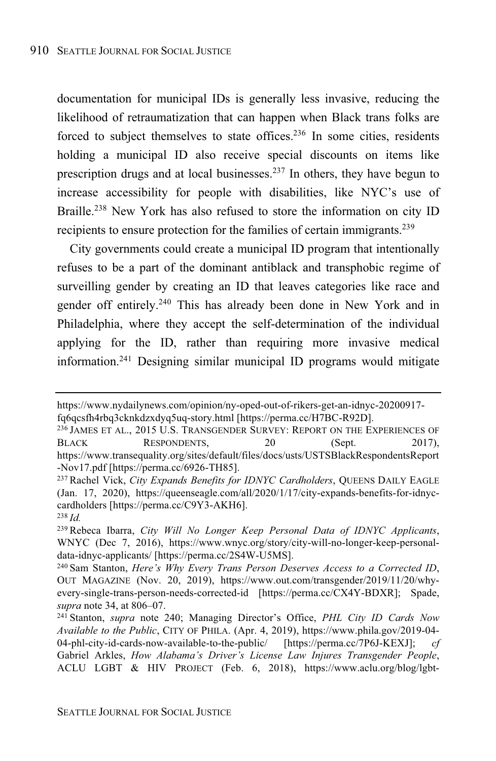documentation for municipal IDs is generally less invasive, reducing the likelihood of retraumatization that can happen when Black trans folks are forced to subject themselves to state offices.<sup>236</sup> In some cities, residents holding a municipal ID also receive special discounts on items like prescription drugs and at local businesses.<sup>237</sup> In others, they have begun to increase accessibility for people with disabilities, like NYC's use of Braille.<sup>238</sup> New York has also refused to store the information on city ID recipients to ensure protection for the families of certain immigrants.<sup>239</sup>

City governments could create a municipal ID program that intentionally refuses to be a part of the dominant antiblack and transphobic regime of surveilling gender by creating an ID that leaves categories like race and gender off entirely. <sup>240</sup> This has already been done in New York and in Philadelphia, where they accept the self-determination of the individual applying for the ID, rather than requiring more invasive medical information.<sup>241</sup> Designing similar municipal ID programs would mitigate

https://www.nydailynews.com/opinion/ny-oped-out-of-rikers-get-an-idnyc-20200917 fq6qcsfh4rbq3cknkdzxdyq5uq-story.html [https://perma.cc/H7BC-R92D].

<sup>236</sup> JAMES ET AL., 2015 U.S. TRANSGENDER SURVEY: REPORT ON THE EXPERIENCES OF BLACK RESPONDENTS, 20 (Sept. 2017), https://www.transequality.org/sites/default/files/docs/usts/USTSBlackRespondentsReport -Nov17.pdf [https://perma.cc/6926-TH85].

<sup>237</sup> Rachel Vick, *City Expands Benefits for IDNYC Cardholders*, QUEENS DAILY EAGLE (Jan. 17, 2020), https://queenseagle.com/all/2020/1/17/city-expands-benefits-for-idnyccardholders [https://perma.cc/C9Y3-AKH6].

<sup>238</sup> *Id.*

<sup>239</sup> Rebeca Ibarra, *City Will No Longer Keep Personal Data of IDNYC Applicants*, WNYC (Dec 7, 2016), https://www.wnyc.org/story/city-will-no-longer-keep-personaldata-idnyc-applicants/ [https://perma.cc/2S4W-U5MS].

<sup>240</sup> Sam Stanton, *Here's Why Every Trans Person Deserves Access to a Corrected ID*, OUT MAGAZINE (Nov. 20, 2019), https://www.out.com/transgender/2019/11/20/whyevery-single-trans-person-needs-corrected-id [https://perma.cc/CX4Y-BDXR]; Spade, *supra* note 34, at 806–07.

<sup>241</sup> Stanton, *supra* note 240; Managing Director's Office, *PHL City ID Cards Now Available to the Public*, CITY OF PHILA. (Apr. 4, 2019), https://www.phila.gov/2019-04- 04-phl-city-id-cards-now-available-to-the-public/ [https://perma.cc/7P6J-KEXJ]; *cf* Gabriel Arkles, *How Alabama's Driver's License Law Injures Transgender People*, ACLU LGBT & HIV PROJECT (Feb. 6, 2018), https://www.aclu.org/blog/lgbt-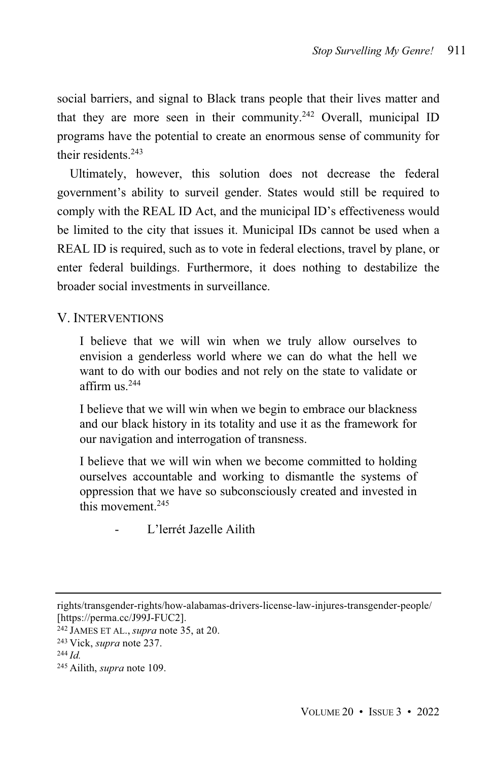social barriers, and signal to Black trans people that their lives matter and that they are more seen in their community. <sup>242</sup> Overall, municipal ID programs have the potential to create an enormous sense of community for their residents.<sup>243</sup>

Ultimately, however, this solution does not decrease the federal government's ability to surveil gender. States would still be required to comply with the REAL ID Act, and the municipal ID's effectiveness would be limited to the city that issues it. Municipal IDs cannot be used when a REAL ID is required, such as to vote in federal elections, travel by plane, or enter federal buildings. Furthermore, it does nothing to destabilize the broader social investments in surveillance.

### V. INTERVENTIONS

I believe that we will win when we truly allow ourselves to envision a genderless world where we can do what the hell we want to do with our bodies and not rely on the state to validate or affirm us.<sup>244</sup>

I believe that we will win when we begin to embrace our blackness and our black history in its totality and use it as the framework for our navigation and interrogation of transness.

I believe that we will win when we become committed to holding ourselves accountable and working to dismantle the systems of oppression that we have so subconsciously created and invested in this movement. 245

L'lerrét Jazelle Ailith

<sup>242</sup> JAMES ET AL., *supra* note 35, at 20.

rights/transgender-rights/how-alabamas-drivers-license-law-injures-transgender-people/ [https://perma.cc/J99J-FUC2].

<sup>243</sup> Vick, *supra* note 237.

<sup>244</sup> *Id.*

<sup>245</sup> Ailith, *supra* note 109.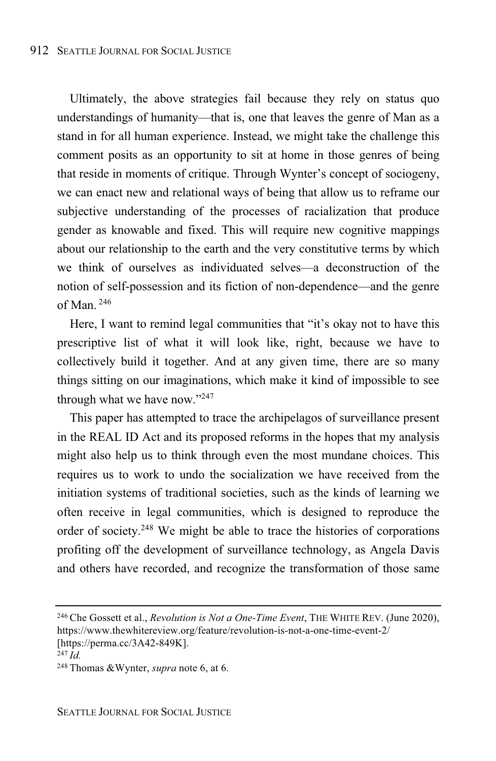Ultimately, the above strategies fail because they rely on status quo understandings of humanity—that is, one that leaves the genre of Man as a stand in for all human experience. Instead, we might take the challenge this comment posits as an opportunity to sit at home in those genres of being that reside in moments of critique. Through Wynter's concept of sociogeny, we can enact new and relational ways of being that allow us to reframe our subjective understanding of the processes of racialization that produce gender as knowable and fixed. This will require new cognitive mappings about our relationship to the earth and the very constitutive terms by which we think of ourselves as individuated selves—a deconstruction of the notion of self-possession and its fiction of non-dependence—and the genre of Man. <sup>246</sup>

Here, I want to remind legal communities that "it's okay not to have this prescriptive list of what it will look like, right, because we have to collectively build it together. And at any given time, there are so many things sitting on our imaginations, which make it kind of impossible to see through what we have now."247

This paper has attempted to trace the archipelagos of surveillance present in the REAL ID Act and its proposed reforms in the hopes that my analysis might also help us to think through even the most mundane choices. This requires us to work to undo the socialization we have received from the initiation systems of traditional societies, such as the kinds of learning we often receive in legal communities, which is designed to reproduce the order of society.<sup>248</sup> We might be able to trace the histories of corporations profiting off the development of surveillance technology, as Angela Davis and others have recorded, and recognize the transformation of those same

<sup>246</sup> Che Gossett et al., *Revolution is Not a One-Time Event*, THE WHITE REV. (June 2020), https://www.thewhitereview.org/feature/revolution-is-not-a-one-time-event-2/

<sup>[</sup>https://perma.cc/3A42-849K].

 $^{247}$  *Id.* 

<sup>248</sup> Thomas &Wynter, *supra* note 6, at 6.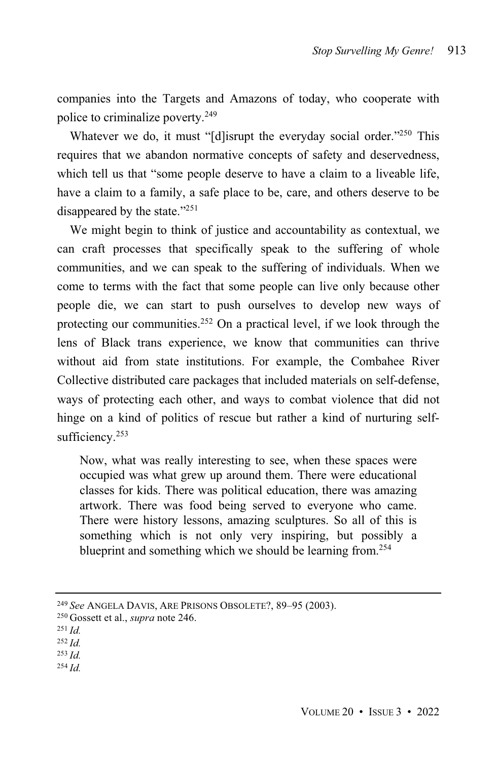companies into the Targets and Amazons of today, who cooperate with police to criminalize poverty.<sup>249</sup>

Whatever we do, it must "[d]isrupt the everyday social order."<sup>250</sup> This requires that we abandon normative concepts of safety and deservedness, which tell us that "some people deserve to have a claim to a liveable life, have a claim to a family, a safe place to be, care, and others deserve to be disappeared by the state." 251

We might begin to think of justice and accountability as contextual, we can craft processes that specifically speak to the suffering of whole communities, and we can speak to the suffering of individuals. When we come to terms with the fact that some people can live only because other people die, we can start to push ourselves to develop new ways of protecting our communities.<sup>252</sup> On a practical level, if we look through the lens of Black trans experience, we know that communities can thrive without aid from state institutions. For example, the Combahee River Collective distributed care packages that included materials on self-defense, ways of protecting each other, and ways to combat violence that did not hinge on a kind of politics of rescue but rather a kind of nurturing selfsufficiency.<sup>253</sup>

Now, what was really interesting to see, when these spaces were occupied was what grew up around them. There were educational classes for kids. There was political education, there was amazing artwork. There was food being served to everyone who came. There were history lessons, amazing sculptures. So all of this is something which is not only very inspiring, but possibly a blueprint and something which we should be learning from. 254

<sup>254</sup> *Id.*

<sup>249</sup> *See* ANGELA DAVIS, ARE PRISONS OBSOLETE?, 89–95 (2003).

<sup>250</sup> Gossett et al., *supra* note 246.

<sup>251</sup> *Id.*

<sup>252</sup> *Id.*

<sup>253</sup> *Id.*